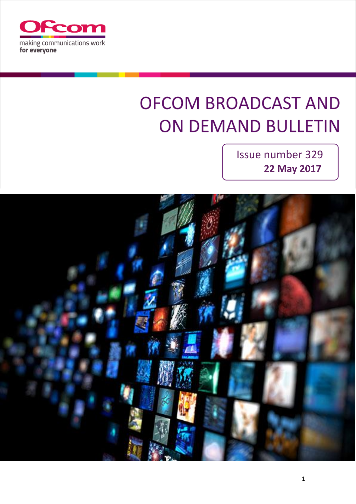

# **OFCOM BROADCAST AND ON DEMAND BULLETIN**

 Issue number 329 **22 May 2017**

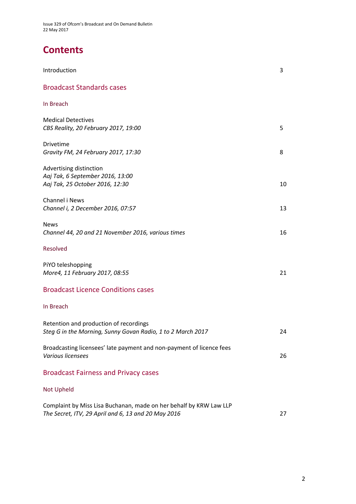# **Contents**

| Introduction                                                                                                              | 3  |
|---------------------------------------------------------------------------------------------------------------------------|----|
| <b>Broadcast Standards cases</b>                                                                                          |    |
| In Breach                                                                                                                 |    |
| <b>Medical Detectives</b><br>CBS Reality, 20 February 2017, 19:00                                                         | 5  |
| Drivetime<br>Gravity FM, 24 February 2017, 17:30                                                                          | 8  |
| Advertising distinction<br>Aaj Tak, 6 September 2016, 13:00<br>Aaj Tak, 25 October 2016, 12:30                            | 10 |
| Channel i News<br>Channel i, 2 December 2016, 07:57                                                                       | 13 |
| <b>News</b><br>Channel 44, 20 and 21 November 2016, various times                                                         | 16 |
| Resolved                                                                                                                  |    |
| PiYO teleshopping<br>More4, 11 February 2017, 08:55                                                                       | 21 |
| <b>Broadcast Licence Conditions cases</b>                                                                                 |    |
| In Breach                                                                                                                 |    |
| Retention and production of recordings<br>Steg G in the Morning, Sunny Govan Radio, 1 to 2 March 2017                     | 24 |
| Broadcasting licensees' late payment and non-payment of licence fees<br>Various licensees                                 | 26 |
| <b>Broadcast Fairness and Privacy cases</b>                                                                               |    |
| <b>Not Upheld</b>                                                                                                         |    |
| Complaint by Miss Lisa Buchanan, made on her behalf by KRW Law LLP<br>The Secret, ITV, 29 April and 6, 13 and 20 May 2016 | 27 |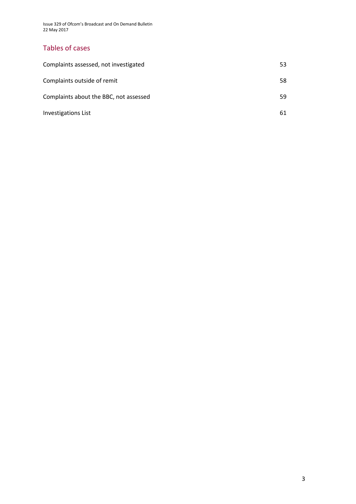Issue 329 of Ofcom's Broadcast and On Demand Bulletin 22 May 2017

### Tables of cases

| Complaints assessed, not investigated  | 53 |
|----------------------------------------|----|
| Complaints outside of remit            | 58 |
| Complaints about the BBC, not assessed | 59 |
| <b>Investigations List</b>             | 61 |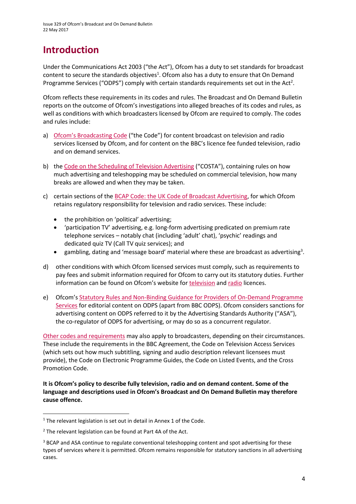# **Introduction**

Under the Communications Act 2003 ("the Act"), Ofcom has a duty to set standards for broadcast content to secure the standards objectives<sup>1</sup>. Ofcom also has a duty to ensure that On Demand Programme Services ("ODPS") comply with certain standards requirements set out in the Act<sup>2</sup>.

Ofcom reflects these requirements in its codes and rules. The Broadcast and On Demand Bulletin reports on the outcome of Ofcom's investigations into alleged breaches of its codes and rules, as well as conditions with which broadcasters licensed by Ofcom are required to comply. The codes and rules include:

- a) [Ofcom's Broadcasting Code](http://stakeholders.ofcom.org.uk/broadcasting/broadcast-codes/broadcast-code/) ("the Code") for content broadcast on television and radio services licensed by Ofcom, and for content on the BBC's licence fee funded television, radio and on demand services.
- b) the [Code on the Scheduling of Television Advertising](https://www.ofcom.org.uk/__data/assets/pdf_file/0014/32162/costa-april-2016.pdf) ("COSTA"), containing rules on how much advertising and teleshopping may be scheduled on commercial television, how many breaks are allowed and when they may be taken.
- c) certain sections of th[e BCAP Code: the UK Code of Broadcast Advertising,](https://www.cap.org.uk/Advertising-Codes/Broadcast.aspx) for which Ofcom retains regulatory responsibility for television and radio services. These include:
	- the prohibition on 'political' advertising;
	- 'participation TV' advertising, e.g. long-form advertising predicated on premium rate telephone services – notably chat (including 'adult' chat), 'psychic' readings and dedicated quiz TV (Call TV quiz services); and
	- $\bullet$  gambling, dating and 'message board' material where these are broadcast as advertising<sup>3</sup>.
- d) other conditions with which Ofcom licensed services must comply, such as requirements to pay fees and submit information required for Ofcom to carry out its statutory duties. Further information can be found on Ofcom's website for [television](http://licensing.ofcom.org.uk/tv-broadcast-licences/) an[d radio](http://licensing.ofcom.org.uk/radio-broadcast-licensing/) licences.
- e) Ofcom's [Statutory Rules and Non-Binding Guidance for Providers of On-Demand Programme](http://stakeholders.ofcom.org.uk/binaries/broadcast/on-demand/rules-guidance/rules_and_guidance.pdf)  [Services](http://stakeholders.ofcom.org.uk/binaries/broadcast/on-demand/rules-guidance/rules_and_guidance.pdf) for editorial content on ODPS (apart from BBC ODPS). Ofcom considers sanctions for advertising content on ODPS referred to it by the Advertising Standards Authority ("ASA"), the co-regulator of ODPS for advertising, or may do so as a concurrent regulator.

[Other codes and requirements](http://stakeholders.ofcom.org.uk/broadcasting/broadcast-codes/) may also apply to broadcasters, depending on their circumstances. These include the requirements in the BBC Agreement, the Code on Television Access Services (which sets out how much subtitling, signing and audio description relevant licensees must provide), the Code on Electronic Programme Guides, the Code on Listed Events, and the Cross Promotion Code.

**It is Ofcom's policy to describe fully television, radio and on demand content. Some of the language and descriptions used in Ofcom's Broadcast and On Demand Bulletin may therefore cause offence.**

**.** 

<sup>&</sup>lt;sup>1</sup> The relevant legislation is set out in detail in Annex 1 of the Code.

 $2$  The relevant legislation can be found at Part 4A of the Act.

<sup>&</sup>lt;sup>3</sup> BCAP and ASA continue to regulate conventional teleshopping content and spot advertising for these types of services where it is permitted. Ofcom remains responsible for statutory sanctions in all advertising cases.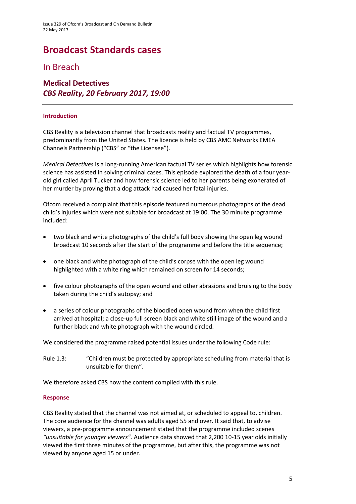# **Broadcast Standards cases**

### In Breach

### **Medical Detectives** *CBS Reality, 20 February 2017, 19:00*

#### **Introduction**

CBS Reality is a television channel that broadcasts reality and factual TV programmes, predominantly from the United States. The licence is held by CBS AMC Networks EMEA Channels Partnership ("CBS" or "the Licensee").

*Medical Detectives* is a long-running American factual TV series which highlights how forensic science has assisted in solving criminal cases. This episode explored the death of a four yearold girl called April Tucker and how forensic science led to her parents being exonerated of her murder by proving that a dog attack had caused her fatal injuries.

Ofcom received a complaint that this episode featured numerous photographs of the dead child's injuries which were not suitable for broadcast at 19:00. The 30 minute programme included:

- two black and white photographs of the child's full body showing the open leg wound broadcast 10 seconds after the start of the programme and before the title sequence;
- one black and white photograph of the child's corpse with the open leg wound highlighted with a white ring which remained on screen for 14 seconds;
- five colour photographs of the open wound and other abrasions and bruising to the body taken during the child's autopsy; and
- a series of colour photographs of the bloodied open wound from when the child first arrived at hospital; a close-up full screen black and white still image of the wound and a further black and white photograph with the wound circled.

We considered the programme raised potential issues under the following Code rule:

Rule 1.3: "Children must be protected by appropriate scheduling from material that is unsuitable for them".

We therefore asked CBS how the content complied with this rule.

#### **Response**

CBS Reality stated that the channel was not aimed at, or scheduled to appeal to, children. The core audience for the channel was adults aged 55 and over. It said that, to advise viewers, a pre-programme announcement stated that the programme included scenes *"unsuitable for younger viewers"*. Audience data showed that 2,200 10-15 year olds initially viewed the first three minutes of the programme, but after this, the programme was not viewed by anyone aged 15 or under.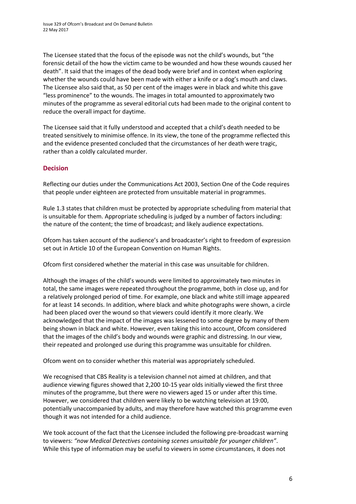The Licensee stated that the focus of the episode was not the child's wounds, but "the forensic detail of the how the victim came to be wounded and how these wounds caused her death". It said that the images of the dead body were brief and in context when exploring whether the wounds could have been made with either a knife or a dog's mouth and claws. The Licensee also said that, as 50 per cent of the images were in black and white this gave "less prominence" to the wounds. The images in total amounted to approximately two minutes of the programme as several editorial cuts had been made to the original content to reduce the overall impact for daytime.

The Licensee said that it fully understood and accepted that a child's death needed to be treated sensitively to minimise offence. In its view, the tone of the programme reflected this and the evidence presented concluded that the circumstances of her death were tragic, rather than a coldly calculated murder.

### **Decision**

Reflecting our duties under the Communications Act 2003, Section One of the Code requires that people under eighteen are protected from unsuitable material in programmes.

Rule 1.3 states that children must be protected by appropriate scheduling from material that is unsuitable for them. Appropriate scheduling is judged by a number of factors including: the nature of the content; the time of broadcast; and likely audience expectations.

Ofcom has taken account of the audience's and broadcaster's right to freedom of expression set out in Article 10 of the European Convention on Human Rights.

Ofcom first considered whether the material in this case was unsuitable for children.

Although the images of the child's wounds were limited to approximately two minutes in total, the same images were repeated throughout the programme, both in close up, and for a relatively prolonged period of time. For example, one black and white still image appeared for at least 14 seconds. In addition, where black and white photographs were shown, a circle had been placed over the wound so that viewers could identify it more clearly. We acknowledged that the impact of the images was lessened to some degree by many of them being shown in black and white. However, even taking this into account, Ofcom considered that the images of the child's body and wounds were graphic and distressing. In our view, their repeated and prolonged use during this programme was unsuitable for children.

Ofcom went on to consider whether this material was appropriately scheduled.

We recognised that CBS Reality is a television channel not aimed at children, and that audience viewing figures showed that 2,200 10-15 year olds initially viewed the first three minutes of the programme, but there were no viewers aged 15 or under after this time. However, we considered that children were likely to be watching television at 19:00, potentially unaccompanied by adults, and may therefore have watched this programme even though it was not intended for a child audience.

We took account of the fact that the Licensee included the following pre-broadcast warning to viewers: *"now Medical Detectives containing scenes unsuitable for younger children"*. While this type of information may be useful to viewers in some circumstances, it does not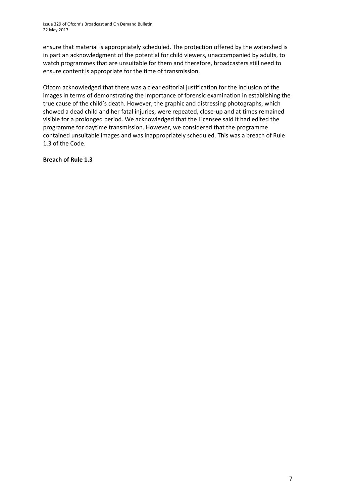Issue 329 of Ofcom's Broadcast and On Demand Bulletin 22 May 2017

ensure that material is appropriately scheduled. The protection offered by the watershed is in part an acknowledgment of the potential for child viewers, unaccompanied by adults, to watch programmes that are unsuitable for them and therefore, broadcasters still need to ensure content is appropriate for the time of transmission.

Ofcom acknowledged that there was a clear editorial justification for the inclusion of the images in terms of demonstrating the importance of forensic examination in establishing the true cause of the child's death. However, the graphic and distressing photographs, which showed a dead child and her fatal injuries, were repeated, close-up and at times remained visible for a prolonged period. We acknowledged that the Licensee said it had edited the programme for daytime transmission. However, we considered that the programme contained unsuitable images and was inappropriately scheduled. This was a breach of Rule 1.3 of the Code.

**Breach of Rule 1.3**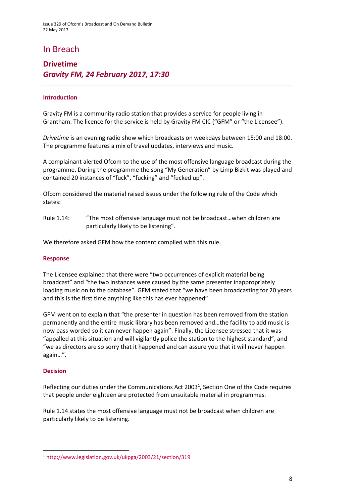### In Breach

### **Drivetime** *Gravity FM, 24 February 2017, 17:30*

### **Introduction**

Gravity FM is a community radio station that provides a service for people living in Grantham. The licence for the service is held by Gravity FM CIC ("GFM" or "the Licensee").

*Drivetime* is an evening radio show which broadcasts on weekdays between 15:00 and 18:00. The programme features a mix of travel updates, interviews and music.

A complainant alerted Ofcom to the use of the most offensive language broadcast during the programme. During the programme the song "My Generation" by Limp Bizkit was played and contained 20 instances of "fuck", "fucking" and "fucked up".

Ofcom considered the material raised issues under the following rule of the Code which states:

Rule 1.14: "The most offensive language must not be broadcast…when children are particularly likely to be listening".

We therefore asked GFM how the content complied with this rule.

#### **Response**

The Licensee explained that there were "two occurrences of explicit material being broadcast" and "the two instances were caused by the same presenter inappropriately loading music on to the database". GFM stated that "we have been broadcasting for 20 years and this is the first time anything like this has ever happened"

GFM went on to explain that "the presenter in question has been removed from the station permanently and the entire music library has been removed and…the facility to add music is now pass-worded so it can never happen again". Finally, the Licensee stressed that it was "appalled at this situation and will vigilantly police the station to the highest standard", and "we as directors are so sorry that it happened and can assure you that it will never happen again…".

#### **Decision**

**.** 

Reflecting our duties under the Communications Act 2003<sup>1</sup>, Section One of the Code requires that people under eighteen are protected from unsuitable material in programmes.

Rule 1.14 states the most offensive language must not be broadcast when children are particularly likely to be listening.

<sup>1</sup> <http://www.legislation.gov.uk/ukpga/2003/21/section/319>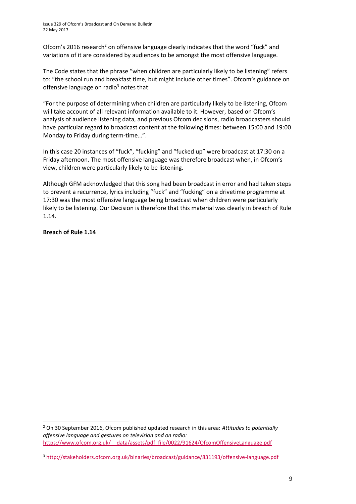Ofcom's 2016 research<sup>2</sup> on offensive language clearly indicates that the word "fuck" and variations of it are considered by audiences to be amongst the most offensive language.

The Code states that the phrase "when children are particularly likely to be listening" refers to: "the school run and breakfast time, but might include other times". Ofcom's guidance on offensive language on radio<sup>3</sup> notes that:

"For the purpose of determining when children are particularly likely to be listening, Ofcom will take account of all relevant information available to it. However, based on Ofcom's analysis of audience listening data, and previous Ofcom decisions, radio broadcasters should have particular regard to broadcast content at the following times: between 15:00 and 19:00 Monday to Friday during term-time…".

In this case 20 instances of "fuck", "fucking" and "fucked up" were broadcast at 17:30 on a Friday afternoon. The most offensive language was therefore broadcast when, in Ofcom's view, children were particularly likely to be listening.

Although GFM acknowledged that this song had been broadcast in error and had taken steps to prevent a recurrence, lyrics including "fuck" and "fucking" on a drivetime programme at 17:30 was the most offensive language being broadcast when children were particularly likely to be listening. Our Decision is therefore that this material was clearly in breach of Rule 1.14.

### **Breach of Rule 1.14**

 $\overline{a}$ 

<sup>2</sup> On 30 September 2016, Ofcom published updated research in this area: *Attitudes to potentially offensive language and gestures on television and on radio:*  [https://www.ofcom.org.uk/\\_\\_data/assets/pdf\\_file/0022/91624/OfcomOffensiveLanguage.pdf](https://www.ofcom.org.uk/__data/assets/pdf_file/0022/91624/OfcomOffensiveLanguage.pdf)

<sup>3</sup> <http://stakeholders.ofcom.org.uk/binaries/broadcast/guidance/831193/offensive-language.pdf>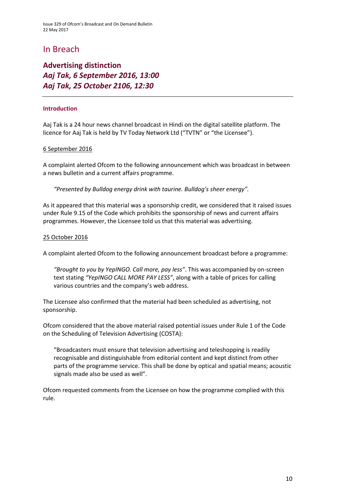### In Breach

### **Advertising distinction** *Aaj Tak, 6 September 2016, 13:00 Aaj Tak, 25 October 2106, 12:30*

### **Introduction**

Aaj Tak is a 24 hour news channel broadcast in Hindi on the digital satellite platform. The licence for Aaj Tak is held by TV Today Network Ltd ("TVTN" or "the Licensee").

### 6 September 2016

A complaint alerted Ofcom to the following announcement which was broadcast in between a news bulletin and a current affairs programme.

*"Presented by Bulldog energy drink with taurine. Bulldog's sheer energy".*

As it appeared that this material was a sponsorship credit, we considered that it raised issues under Rule 9.15 of the Code which prohibits the sponsorship of news and current affairs programmes. However, the Licensee told us that this material was advertising.

### 25 October 2016

A complaint alerted Ofcom to the following announcement broadcast before a programme:

*"Brought to you by YepINGO. Call more, pay less"*. This was accompanied by on-screen text stating *"YepINGO CALL MORE PAY LESS"*, along with a table of prices for calling various countries and the company's web address.

The Licensee also confirmed that the material had been scheduled as advertising, not sponsorship.

Ofcom considered that the above material raised potential issues under Rule 1 of the Code on the Scheduling of Television Advertising (COSTA):

"Broadcasters must ensure that television advertising and teleshopping is readily recognisable and distinguishable from editorial content and kept distinct from other parts of the programme service. This shall be done by optical and spatial means; acoustic signals made also be used as well".

Ofcom requested comments from the Licensee on how the programme complied with this rule.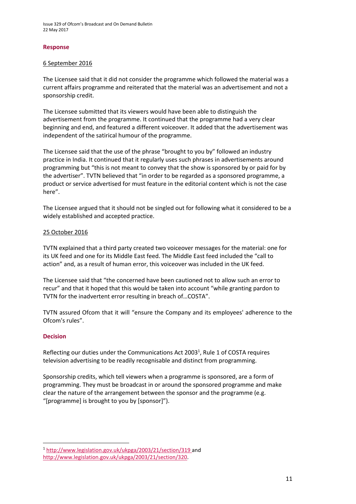Issue 329 of Ofcom's Broadcast and On Demand Bulletin 22 May 2017

#### **Response**

#### 6 September 2016

The Licensee said that it did not consider the programme which followed the material was a current affairs programme and reiterated that the material was an advertisement and not a sponsorship credit.

The Licensee submitted that its viewers would have been able to distinguish the advertisement from the programme. It continued that the programme had a very clear beginning and end, and featured a different voiceover. It added that the advertisement was independent of the satirical humour of the programme.

The Licensee said that the use of the phrase "brought to you by" followed an industry practice in India. It continued that it regularly uses such phrases in advertisements around programming but "this is not meant to convey that the show is sponsored by or paid for by the advertiser". TVTN believed that "in order to be regarded as a sponsored programme, a product or service advertised for must feature in the editorial content which is not the case here".

The Licensee argued that it should not be singled out for following what it considered to be a widely established and accepted practice.

### 25 October 2016

TVTN explained that a third party created two voiceover messages for the material: one for its UK feed and one for its Middle East feed. The Middle East feed included the "call to action" and, as a result of human error, this voiceover was included in the UK feed.

The Licensee said that "the concerned have been cautioned not to allow such an error to recur" and that it hoped that this would be taken into account "while granting pardon to TVTN for the inadvertent error resulting in breach of…COSTA".

TVTN assured Ofcom that it will "ensure the Company and its employees' adherence to the Ofcom's rules".

#### **Decision**

**.** 

Reflecting our duties under the Communications Act 2003<sup>1</sup>, Rule 1 of COSTA requires television advertising to be readily recognisable and distinct from programming.

Sponsorship credits, which tell viewers when a programme is sponsored, are a form of programming. They must be broadcast in or around the sponsored programme and make clear the nature of the arrangement between the sponsor and the programme (e.g. "[programme] is brought to you by [sponsor]").

<sup>1</sup> <http://www.legislation.gov.uk/ukpga/2003/21/section/319> and [http://www.legislation.gov.uk/ukpga/2003/21/section/320.](http://www.legislation.gov.uk/ukpga/2003/21/section/320)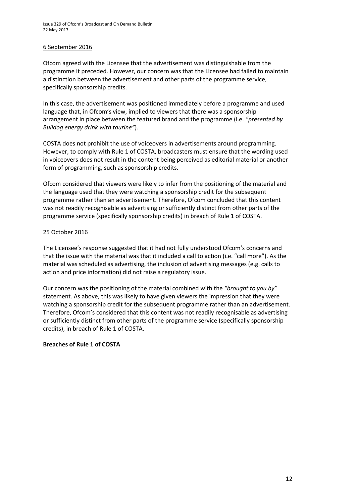### 6 September 2016

Ofcom agreed with the Licensee that the advertisement was distinguishable from the programme it preceded. However, our concern was that the Licensee had failed to maintain a distinction between the advertisement and other parts of the programme service, specifically sponsorship credits.

In this case, the advertisement was positioned immediately before a programme and used language that, in Ofcom's view, implied to viewers that there was a sponsorship arrangement in place between the featured brand and the programme (i.e. *"presented by Bulldog energy drink with taurine"*).

COSTA does not prohibit the use of voiceovers in advertisements around programming. However, to comply with Rule 1 of COSTA, broadcasters must ensure that the wording used in voiceovers does not result in the content being perceived as editorial material or another form of programming, such as sponsorship credits.

Ofcom considered that viewers were likely to infer from the positioning of the material and the language used that they were watching a sponsorship credit for the subsequent programme rather than an advertisement. Therefore, Ofcom concluded that this content was not readily recognisable as advertising or sufficiently distinct from other parts of the programme service (specifically sponsorship credits) in breach of Rule 1 of COSTA.

### 25 October 2016

The Licensee's response suggested that it had not fully understood Ofcom's concerns and that the issue with the material was that it included a call to action (i.e. "call more"). As the material was scheduled as advertising, the inclusion of advertising messages (e.g. calls to action and price information) did not raise a regulatory issue.

Our concern was the positioning of the material combined with the *"brought to you by"* statement. As above, this was likely to have given viewers the impression that they were watching a sponsorship credit for the subsequent programme rather than an advertisement. Therefore, Ofcom's considered that this content was not readily recognisable as advertising or sufficiently distinct from other parts of the programme service (specifically sponsorship credits), in breach of Rule 1 of COSTA.

### **Breaches of Rule 1 of COSTA**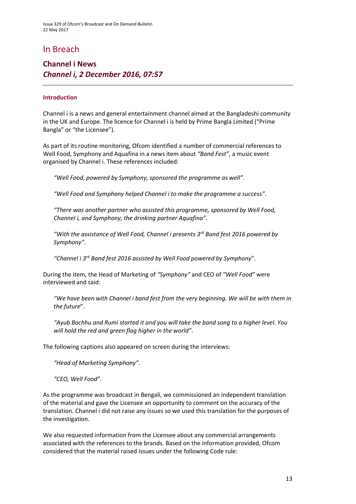### In Breach

### **Channel i News** *Channel i, 2 December 2016, 07:57*

### **Introduction**

Channel i is a news and general entertainment channel aimed at the Bangladeshi community in the UK and Europe. The licence for Channel i is held by Prime Bangla Limited ("Prime Bangla" or "the Licensee").

As part of its routine monitoring, Ofcom identified a number of commercial references to Well Food, Symphony and Aquafina in a news item about *"Band Fest"*, a music event organised by Channel i. These references included:

*"Well Food, powered by Symphony, sponsored the programme as well"*.

*"Well Food and Symphony helped Channel i to make the programme a success"*.

*"There was another partner who assisted this programme, sponsored by Well Food, Channel i, and Symphony, the drinking partner Aquafina"*.

*"With the assistance of Well Food, Channel i presents 3rd Band fest 2016 powered by Symphony"*.

*"Channel i 3rd Band fest 2016 assisted by Well Food powered by Symphony*".

During the item, the Head of Marketing of *"Symphony"* and CEO of *"Well Food"* were interviewed and said:

*"We have been with Channel i band fest from the very beginning. We will be with them in the future*".

*"Ayub Bachhu and Rumi started it and you will take the band song to a higher level. You will hold the red and green flag higher in the world"*.

The following captions also appeared on screen during the interviews:

*"Head of Marketing Symphony"*.

*"CEO, Well Food"*.

As the programme was broadcast in Bengali, we commissioned an independent translation of the material and gave the Licensee an opportunity to comment on the accuracy of the translation. Channel i did not raise any issues so we used this translation for the purposes of the investigation.

We also requested information from the Licensee about any commercial arrangements associated with the references to the brands. Based on the information provided, Ofcom considered that the material raised issues under the following Code rule: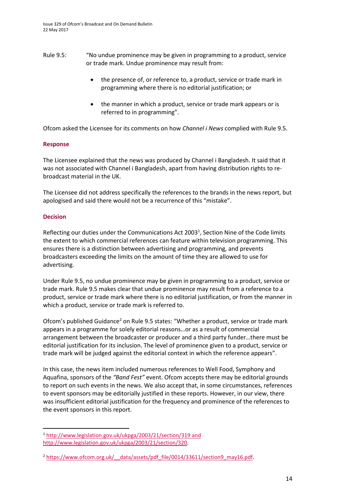- Rule 9.5: "No undue prominence may be given in programming to a product, service or trade mark. Undue prominence may result from:
	- the presence of, or reference to, a product, service or trade mark in programming where there is no editorial justification; or
	- the manner in which a product, service or trade mark appears or is referred to in programming".

Ofcom asked the Licensee for its comments on how *Channel i News* complied with Rule 9.5.

### **Response**

The Licensee explained that the news was produced by Channel i Bangladesh. It said that it was not associated with Channel i Bangladesh, apart from having distribution rights to rebroadcast material in the UK.

The Licensee did not address specifically the references to the brands in the news report, but apologised and said there would not be a recurrence of this "mistake".

### **Decision**

**.** 

Reflecting our duties under the Communications Act 2003<sup>1</sup>, Section Nine of the Code limits the extent to which commercial references can feature within television programming. This ensures there is a distinction between advertising and programming, and prevents broadcasters exceeding the limits on the amount of time they are allowed to use for advertising.

Under Rule 9.5, no undue prominence may be given in programming to a product, service or trade mark. Rule 9.5 makes clear that undue prominence may result from a reference to a product, service or trade mark where there is no editorial justification, or from the manner in which a product, service or trade mark is referred to.

Ofcom's published Guidance<sup>2</sup> on Rule 9.5 states: "Whether a product, service or trade mark appears in a programme for solely editorial reasons…or as a result of commercial arrangement between the broadcaster or producer and a third party funder…there must be editorial justification for its inclusion. The level of prominence given to a product, service or trade mark will be judged against the editorial context in which the reference appears".

In this case, the news item included numerous references to Well Food, Symphony and Aquafina, sponsors of the *"Band Fest"* event. Ofcom accepts there may be editorial grounds to report on such events in the news. We also accept that, in some circumstances, references to event sponsors may be editorially justified in these reports. However, in our view, there was insufficient editorial justification for the frequency and prominence of the references to the event sponsors in this report.

<sup>1</sup> <http://www.legislation.gov.uk/ukpga/2003/21/section/319> and [http://www.legislation.gov.uk/ukpga/2003/21/section/320.](http://www.legislation.gov.uk/ukpga/2003/21/section/320)

<sup>&</sup>lt;sup>2</sup> https://www.ofcom.org.uk/ data/assets/pdf\_file/0014/33611/section9\_may16.pdf.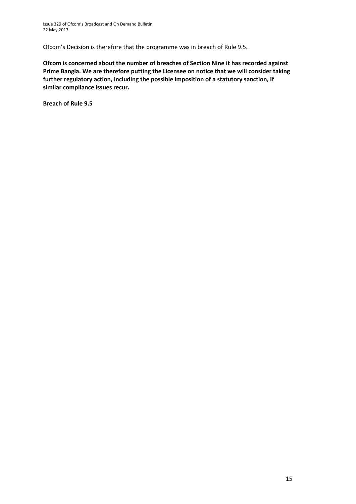Ofcom's Decision is therefore that the programme was in breach of Rule 9.5.

**Ofcom is concerned about the number of breaches of Section Nine it has recorded against Prime Bangla. We are therefore putting the Licensee on notice that we will consider taking further regulatory action, including the possible imposition of a statutory sanction, if similar compliance issues recur.**

**Breach of Rule 9.5**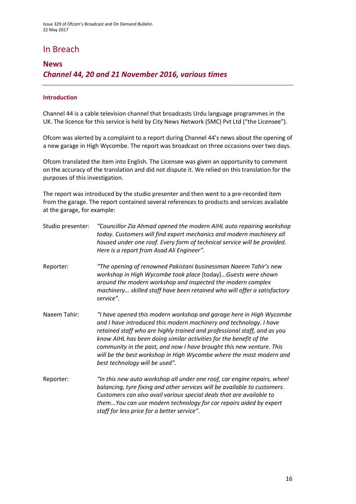### In Breach

### **News**  *Channel 44, 20 and 21 November 2016, various times*

### **Introduction**

Channel 44 is a cable television channel that broadcasts Urdu language programmes in the UK. The licence for this service is held by City News Network (SMC) Pvt Ltd ("the Licensee").

Ofcom was alerted by a complaint to a report during Channel 44's news about the opening of a new garage in High Wycombe. The report was broadcast on three occasions over two days.

Ofcom translated the item into English. The Licensee was given an opportunity to comment on the accuracy of the translation and did not dispute it. We relied on this translation for the purposes of this investigation.

The report was introduced by the studio presenter and then went to a pre-recorded item from the garage. The report contained several references to products and services available at the garage, for example:

| Studio presenter: | "Councillor Zia Ahmad opened the modern AIHL auto repairing workshop<br>today. Customers will find expert mechanics and modern machinery all<br>housed under one roof. Every form of technical service will be provided.<br>Here is a report from Asad Ali Engineer".                                                                                                                                                                                                        |
|-------------------|------------------------------------------------------------------------------------------------------------------------------------------------------------------------------------------------------------------------------------------------------------------------------------------------------------------------------------------------------------------------------------------------------------------------------------------------------------------------------|
| Reporter:         | "The opening of renowned Pakistani businessman Naeem Tahir's new<br>workshop in High Wycombe took place [today]Guests were shown<br>around the modern workshop and inspected the modern complex<br>machinery skilled staff have been retained who will offer a satisfactory<br>service".                                                                                                                                                                                     |
| Naeem Tahir:      | "I have opened this modern workshop and garage here in High Wycombe<br>and I have introduced this modern machinery and technology. I have<br>retained staff who are highly trained and professional staff, and as you<br>know AIHL has been doing similar activities for the benefit of the<br>community in the past, and now I have brought this new venture. This<br>will be the best workshop in High Wycombe where the most modern and<br>best technology will be used". |
| Reporter:         | "In this new auto workshop all under one roof, car engine repairs, wheel<br>balancing, tyre fixing and other services will be available to customers.<br>Customers can also avail various special deals that are available to<br>themYou can use modern technology for car repairs aided by expert<br>staff for less price for a better service".                                                                                                                            |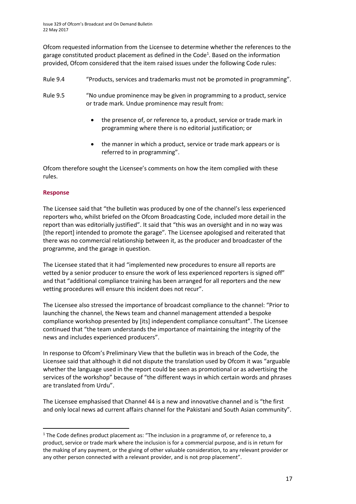Ofcom requested information from the Licensee to determine whether the references to the garage constituted product placement as defined in the Code<sup>1</sup>. Based on the information provided, Ofcom considered that the item raised issues under the following Code rules:

- Rule 9.4 "Products, services and trademarks must not be promoted in programming".
- Rule 9.5 "No undue prominence may be given in programming to a product, service or trade mark. Undue prominence may result from:
	- the presence of, or reference to, a product, service or trade mark in programming where there is no editorial justification; or
	- the manner in which a product, service or trade mark appears or is referred to in programming".

Ofcom therefore sought the Licensee's comments on how the item complied with these rules.

### **Response**

**.** 

The Licensee said that "the bulletin was produced by one of the channel's less experienced reporters who, whilst briefed on the Ofcom Broadcasting Code, included more detail in the report than was editorially justified". It said that "this was an oversight and in no way was [the report] intended to promote the garage"*.* The Licensee apologised and reiterated that there was no commercial relationship between it, as the producer and broadcaster of the programme, and the garage in question.

The Licensee stated that it had "implemented new procedures to ensure all reports are vetted by a senior producer to ensure the work of less experienced reporters is signed off" and that "additional compliance training has been arranged for all reporters and the new vetting procedures will ensure this incident does not recur".

The Licensee also stressed the importance of broadcast compliance to the channel: "Prior to launching the channel, the News team and channel management attended a bespoke compliance workshop presented by [its] independent compliance consultant". The Licensee continued that "the team understands the importance of maintaining the integrity of the news and includes experienced producers".

In response to Ofcom's Preliminary View that the bulletin was in breach of the Code, the Licensee said that although it did not dispute the translation used by Ofcom it was "arguable whether the language used in the report could be seen as promotional or as advertising the services of the workshop" because of "the different ways in which certain words and phrases are translated from Urdu".

The Licensee emphasised that Channel 44 is a new and innovative channel and is "the first and only local news ad current affairs channel for the Pakistani and South Asian community".

<sup>&</sup>lt;sup>1</sup> The Code defines product placement as: "The inclusion in a programme of, or reference to, a product, service or trade mark where the inclusion is for a commercial purpose, and is in return for the making of any payment, or the giving of other valuable consideration, to any relevant provider or any other person connected with a relevant provider, and is not prop placement".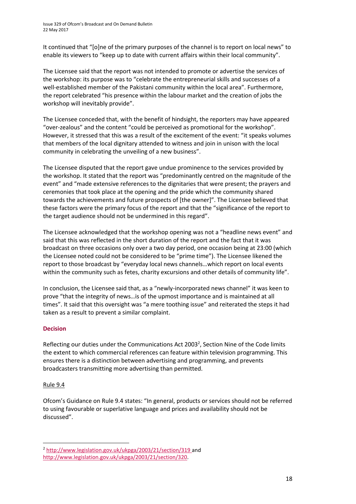It continued that "[o]ne of the primary purposes of the channel is to report on local news" to enable its viewers to "keep up to date with current affairs within their local community".

The Licensee said that the report was not intended to promote or advertise the services of the workshop: its purpose was to "celebrate the entrepreneurial skills and successes of a well-established member of the Pakistani community within the local area". Furthermore, the report celebrated "his presence within the labour market and the creation of jobs the workshop will inevitably provide".

The Licensee conceded that, with the benefit of hindsight, the reporters may have appeared "over-zealous" and the content "could be perceived as promotional for the workshop". However, it stressed that this was a result of the excitement of the event: "it speaks volumes that members of the local dignitary attended to witness and join in unison with the local community in celebrating the unveiling of a new business".

The Licensee disputed that the report gave undue prominence to the services provided by the workshop. It stated that the report was "predominantly centred on the magnitude of the event" and "made extensive references to the dignitaries that were present; the prayers and ceremonies that took place at the opening and the pride which the community shared towards the achievements and future prospects of [the owner]". The Licensee believed that these factors were the primary focus of the report and that the "significance of the report to the target audience should not be undermined in this regard".

The Licensee acknowledged that the workshop opening was not a "headline news event" and said that this was reflected in the short duration of the report and the fact that it was broadcast on three occasions only over a two day period, one occasion being at 23:00 (which the Licensee noted could not be considered to be "prime time"). The Licensee likened the report to those broadcast by "everyday local news channels…which report on local events within the community such as fetes, charity excursions and other details of community life".

In conclusion, the Licensee said that, as a "newly-incorporated news channel" it was keen to prove "that the integrity of news…is of the upmost importance and is maintained at all times". It said that this oversight was "a mere toothing issue" and reiterated the steps it had taken as a result to prevent a similar complaint.

### **Decision**

Reflecting our duties under the Communications Act 2003<sup>2</sup>, Section Nine of the Code limits the extent to which commercial references can feature within television programming. This ensures there is a distinction between advertising and programming, and prevents broadcasters transmitting more advertising than permitted.

### Rule 9.4

**.** 

Ofcom's Guidance on Rule 9.4 states: "In general, products or services should not be referred to using favourable or superlative language and prices and availability should not be discussed".

<sup>2</sup> <http://www.legislation.gov.uk/ukpga/2003/21/section/319> and [http://www.legislation.gov.uk/ukpga/2003/21/section/320.](http://www.legislation.gov.uk/ukpga/2003/21/section/320)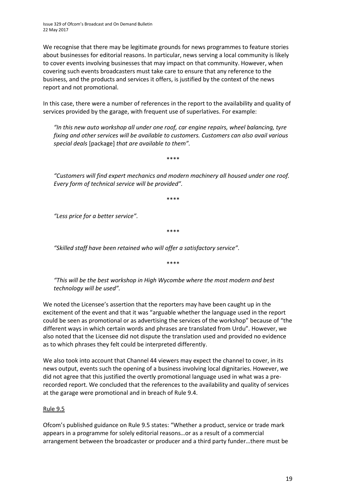Issue 329 of Ofcom's Broadcast and On Demand Bulletin 22 May 2017

We recognise that there may be legitimate grounds for news programmes to feature stories about businesses for editorial reasons. In particular, news serving a local community is likely to cover events involving businesses that may impact on that community. However, when covering such events broadcasters must take care to ensure that any reference to the business, and the products and services it offers, is justified by the context of the news report and not promotional.

In this case, there were a number of references in the report to the availability and quality of services provided by the garage, with frequent use of superlatives. For example:

*"In this new auto workshop all under one roof, car engine repairs, wheel balancing, tyre fixing and other services will be available to customers. Customers can also avail various special deals* [package] *that are available to them".*

\*\*\*\*

*"Customers will find expert mechanics and modern machinery all housed under one roof. Every form of technical service will be provided".*

\*\*\*\*

*"Less price for a better service".*

\*\*\*\*

*"Skilled staff have been retained who will offer a satisfactory service".*

\*\*\*\*

*"This will be the best workshop in High Wycombe where the most modern and best technology will be used".*

We noted the Licensee's assertion that the reporters may have been caught up in the excitement of the event and that it was "arguable whether the language used in the report could be seen as promotional or as advertising the services of the workshop" because of "the different ways in which certain words and phrases are translated from Urdu". However, we also noted that the Licensee did not dispute the translation used and provided no evidence as to which phrases they felt could be interpreted differently.

We also took into account that Channel 44 viewers may expect the channel to cover, in its news output, events such the opening of a business involving local dignitaries. However, we did not agree that this justified the overtly promotional language used in what was a prerecorded report. We concluded that the references to the availability and quality of services at the garage were promotional and in breach of Rule 9.4.

#### Rule 9.5

Ofcom's published guidance on Rule 9.5 states: "Whether a product, service or trade mark appears in a programme for solely editorial reasons…or as a result of a commercial arrangement between the broadcaster or producer and a third party funder…there must be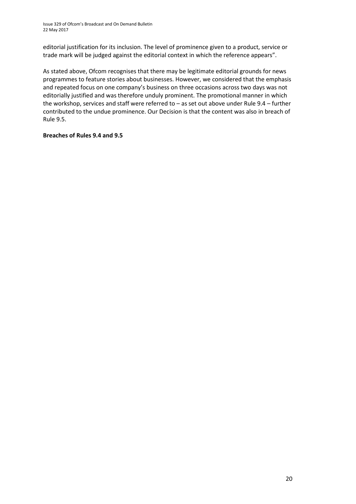editorial justification for its inclusion. The level of prominence given to a product, service or trade mark will be judged against the editorial context in which the reference appears".

As stated above, Ofcom recognises that there may be legitimate editorial grounds for news programmes to feature stories about businesses. However, we considered that the emphasis and repeated focus on one company's business on three occasions across two days was not editorially justified and was therefore unduly prominent. The promotional manner in which the workshop, services and staff were referred to – as set out above under Rule 9.4 – further contributed to the undue prominence. Our Decision is that the content was also in breach of Rule 9.5.

### **Breaches of Rules 9.4 and 9.5**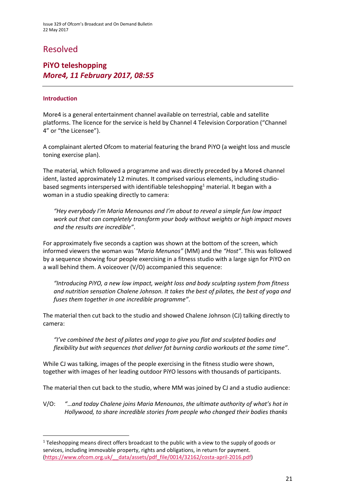### Resolved

### **PiYO teleshopping** *More4, 11 February 2017, 08:55*

### **Introduction**

**.** 

More4 is a general entertainment channel available on terrestrial, cable and satellite platforms. The licence for the service is held by Channel 4 Television Corporation ("Channel 4" or "the Licensee").

A complainant alerted Ofcom to material featuring the brand PiYO (a weight loss and muscle toning exercise plan).

The material, which followed a programme and was directly preceded by a More4 channel ident, lasted approximately 12 minutes. It comprised various elements, including studiobased segments interspersed with identifiable teleshopping<sup>1</sup> material. It began with a woman in a studio speaking directly to camera:

*"Hey everybody I'm Maria Menounos and I'm about to reveal a simple fun low impact work out that can completely transform your body without weights or high impact moves and the results are incredible"*.

For approximately five seconds a caption was shown at the bottom of the screen, which informed viewers the woman was *"Maria Menunos"* (MM) and the *"Host"*. This was followed by a sequence showing four people exercising in a fitness studio with a large sign for PiYO on a wall behind them. A voiceover (V/O) accompanied this sequence:

*"Introducing PiYO, a new low impact, weight loss and body sculpting system from fitness and nutrition sensation Chalene Johnson. It takes the best of pilates, the best of yoga and fuses them together in one incredible programme"*.

The material then cut back to the studio and showed Chalene Johnson (CJ) talking directly to camera:

*"I've combined the best of pilates and yoga to give you flat and sculpted bodies and flexibility but with sequences that deliver fat burning cardio workouts at the same time"*.

While CJ was talking, images of the people exercising in the fitness studio were shown, together with images of her leading outdoor PiYO lessons with thousands of participants.

The material then cut back to the studio, where MM was joined by CJ and a studio audience:

V/O: *"*…*and today Chalene joins Maria Menounos*, *the ultimate authority of what's hot in Hollywood, to share incredible stories from people who changed their bodies thanks* 

<sup>&</sup>lt;sup>1</sup> Teleshopping means direct offers broadcast to the public with a view to the supply of goods or services, including immovable property, rights and obligations, in return for payment. [\(https://www.ofcom.org.uk/\\_\\_data/assets/pdf\\_file/0014/32162/costa-april-2016.pdf\)](https://www.ofcom.org.uk/__data/assets/pdf_file/0014/32162/costa-april-2016.pdf)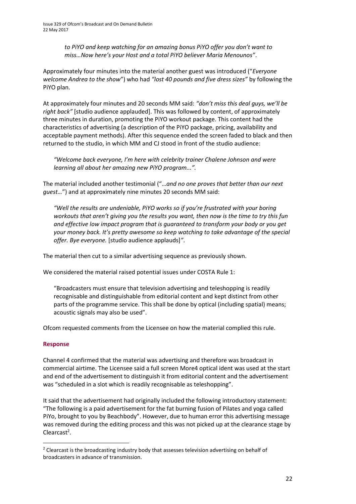*to PiYO and keep watching for an amazing bonus PiYO offer you don't want to miss…Now here's your Host and a total PiYO believer Maria Menounos"*.

Approximately four minutes into the material another guest was introduced ("*Everyone welcome Andrea to the show*") who had *"lost 40 pounds and five dress sizes"* by following the PiYO plan.

At approximately four minutes and 20 seconds MM said: *"don't miss this deal guys, we'll be right back"* [studio audience applauded]. This was followed by content, of approximately three minutes in duration, promoting the PiYO workout package. This content had the characteristics of advertising (a description of the PiYO package, pricing, availability and acceptable payment methods). After this sequence ended the screen faded to black and then returned to the studio, in which MM and CJ stood in front of the studio audience:

*"Welcome back everyone, I'm here with celebrity trainer Chalene Johnson and were learning all about her amazing new PiYO program...".*

The material included another testimonial ("…*and no one proves that better than our next guest…*") and at approximately nine minutes 20 seconds MM said:

*"Well the results are undeniable, PiYO works so if you're frustrated with your boring workouts that aren't giving you the results you want, then now is the time to try this fun and effective low impact program that is guaranteed to transform your body or you get your money back. It's pretty awesome so keep watching to take advantage of the special offer. Bye everyone.* [studio audience applauds]*"*.

The material then cut to a similar advertising sequence as previously shown.

We considered the material raised potential issues under COSTA Rule 1:

"Broadcasters must ensure that television advertising and teleshopping is readily recognisable and distinguishable from editorial content and kept distinct from other parts of the programme service. This shall be done by optical (including spatial) means; acoustic signals may also be used".

Ofcom requested comments from the Licensee on how the material complied this rule.

#### **Response**

**.** 

Channel 4 confirmed that the material was advertising and therefore was broadcast in commercial airtime. The Licensee said a full screen More4 optical ident was used at the start and end of the advertisement to distinguish it from editorial content and the advertisement was "scheduled in a slot which is readily recognisable as teleshopping".

It said that the advertisement had originally included the following introductory statement: "The following is a paid advertisement for the fat burning fusion of Pilates and yoga called PiYo, brought to you by Beachbody". However, due to human error this advertising message was removed during the editing process and this was not picked up at the clearance stage by Clearcast<sup>2</sup>.

<sup>&</sup>lt;sup>2</sup> Clearcast is the broadcasting industry body that assesses television advertising on behalf of broadcasters in advance of transmission.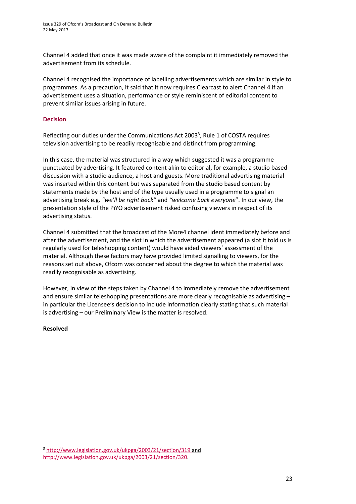Channel 4 added that once it was made aware of the complaint it immediately removed the advertisement from its schedule.

Channel 4 recognised the importance of labelling advertisements which are similar in style to programmes. As a precaution, it said that it now requires Clearcast to alert Channel 4 if an advertisement uses a situation, performance or style reminiscent of editorial content to prevent similar issues arising in future.

#### **Decision**

Reflecting our duties under the Communications Act 2003<sup>3</sup>, Rule 1 of COSTA requires television advertising to be readily recognisable and distinct from programming.

In this case, the material was structured in a way which suggested it was a programme punctuated by advertising. It featured content akin to editorial, for example, a studio based discussion with a studio audience, a host and guests. More traditional advertising material was inserted within this content but was separated from the studio based content by statements made by the host and of the type usually used in a programme to signal an advertising break e.g. *"we'll be right back"* and *"welcome back everyone*". In our view, the presentation style of the PiYO advertisement risked confusing viewers in respect of its advertising status.

Channel 4 submitted that the broadcast of the More4 channel ident immediately before and after the advertisement, and the slot in which the advertisement appeared (a slot it told us is regularly used for teleshopping content) would have aided viewers' assessment of the material. Although these factors may have provided limited signalling to viewers, for the reasons set out above, Ofcom was concerned about the degree to which the material was readily recognisable as advertising.

However, in view of the steps taken by Channel 4 to immediately remove the advertisement and ensure similar teleshopping presentations are more clearly recognisable as advertising in particular the Licensee's decision to include information clearly stating that such material is advertising – our Preliminary View is the matter is resolved.

#### **Resolved**

**.** 

<sup>3</sup> <http://www.legislation.gov.uk/ukpga/2003/21/section/319> and [http://www.legislation.gov.uk/ukpga/2003/21/section/320.](http://www.legislation.gov.uk/ukpga/2003/21/section/320)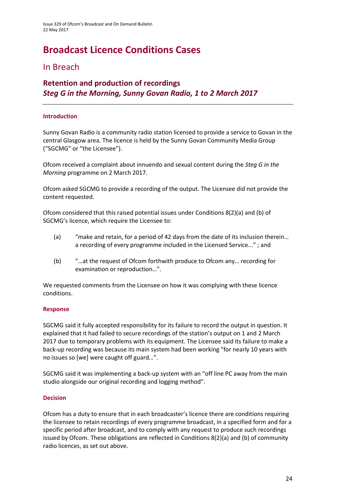# **Broadcast Licence Conditions Cases**

### In Breach

### **Retention and production of recordings** *Steg G in the Morning, Sunny Govan Radio, 1 to 2 March 2017*

### **Introduction**

Sunny Govan Radio is a community radio station licensed to provide a service to Govan in the central Glasgow area. The licence is held by the Sunny Govan Community Media Group ("SGCMG" or "the Licensee").

Ofcom received a complaint about innuendo and sexual content during the *Steg G in the Morning* programme on 2 March 2017.

Ofcom asked SGCMG to provide a recording of the output. The Licensee did not provide the content requested.

Ofcom considered that this raised potential issues under Conditions 8(2)(a) and (b) of SGCMG's licence, which require the Licensee to:

- (a) "make and retain, for a period of 42 days from the date of its inclusion therein… a recording of every programme included in the Licensed Service..." ; and
- (b) "…at the request of Ofcom forthwith produce to Ofcom any… recording for examination or reproduction…".

We requested comments from the Licensee on how it was complying with these licence conditions.

### **Response**

SGCMG said it fully accepted responsibility for its failure to record the output in question. It explained that it had failed to secure recordings of the station's output on 1 and 2 March 2017 due to temporary problems with its equipment. The Licensee said its failure to make a back-up recording was because its main system had been working "for nearly 10 years with no issues so [we] were caught off guard…".

SGCMG said it was implementing a back-up system with an "off line PC away from the main studio alongside our original recording and logging method".

#### **Decision**

Ofcom has a duty to ensure that in each broadcaster's licence there are conditions requiring the licensee to retain recordings of every programme broadcast, in a specified form and for a specific period after broadcast, and to comply with any request to produce such recordings issued by Ofcom. These obligations are reflected in Conditions 8(2)(a) and (b) of community radio licences, as set out above.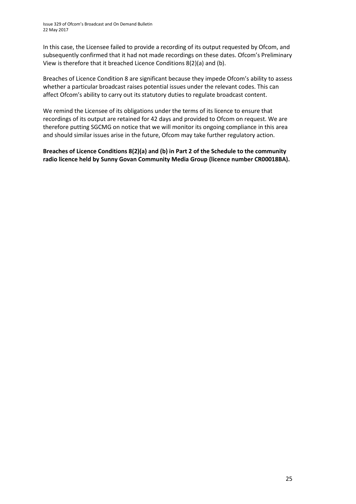In this case, the Licensee failed to provide a recording of its output requested by Ofcom, and subsequently confirmed that it had not made recordings on these dates. Ofcom's Preliminary View is therefore that it breached Licence Conditions 8(2)(a) and (b).

Breaches of Licence Condition 8 are significant because they impede Ofcom's ability to assess whether a particular broadcast raises potential issues under the relevant codes. This can affect Ofcom's ability to carry out its statutory duties to regulate broadcast content.

We remind the Licensee of its obligations under the terms of its licence to ensure that recordings of its output are retained for 42 days and provided to Ofcom on request. We are therefore putting SGCMG on notice that we will monitor its ongoing compliance in this area and should similar issues arise in the future, Ofcom may take further regulatory action.

**Breaches of Licence Conditions 8(2)(a) and (b) in Part 2 of the Schedule to the community radio licence held by Sunny Govan Community Media Group (licence number CR00018BA).**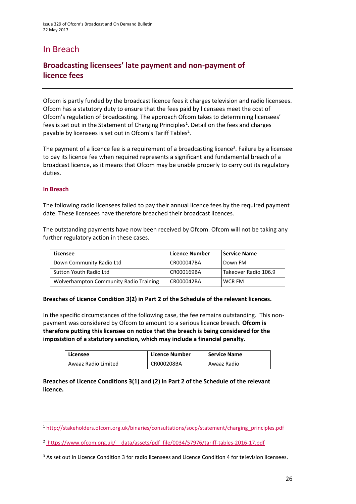### In Breach

### **Broadcasting licensees' late payment and non-payment of licence fees**

Ofcom is partly funded by the broadcast licence fees it charges television and radio licensees. Ofcom has a statutory duty to ensure that the fees paid by licensees meet the cost of Ofcom's regulation of broadcasting. The approach Ofcom takes to determining licensees' fees is set out in the Statement of Charging Principles<sup>1</sup>. Detail on the fees and charges payable by licensees is set out in Ofcom's Tariff Tables<sup>2</sup>.

The payment of a licence fee is a requirement of a broadcasting licence<sup>3</sup>. Failure by a licensee to pay its licence fee when required represents a significant and fundamental breach of a broadcast licence, as it means that Ofcom may be unable properly to carry out its regulatory duties.

#### **In Breach**

 $\overline{a}$ 

The following radio licensees failed to pay their annual licence fees by the required payment date. These licensees have therefore breached their broadcast licences.

The outstanding payments have now been received by Ofcom. Ofcom will not be taking any further regulatory action in these cases.

| Licensee                               | <b>Licence Number</b> | <b>Service Name</b>  |
|----------------------------------------|-----------------------|----------------------|
| Down Community Radio Ltd               | CR000047BA            | Down FM              |
| Sutton Youth Radio Ltd                 | CR000169BA            | Takeover Radio 106.9 |
| Wolverhampton Community Radio Training | CR000042BA            | WCR FM               |

#### **Breaches of Licence Condition 3(2) in Part 2 of the Schedule of the relevant licences.**

In the specific circumstances of the following case, the fee remains outstanding. This nonpayment was considered by Ofcom to amount to a serious licence breach. **Ofcom is therefore putting this licensee on notice that the breach is being considered for the imposistion of a statutory sanction, which may include a financial penalty.**

| Licensee            | <b>Licence Number</b> | Service Name |
|---------------------|-----------------------|--------------|
| Awaaz Radio Limited | CR000208BA            | Awaaz Radio  |

**Breaches of Licence Conditions 3(1) and (2) in Part 2 of the Schedule of the relevant licence.**

<sup>1</sup> [http://stakeholders.ofcom.org.uk/binaries/consultations/socp/statement/charging\\_principles.pdf](http://stakeholders.ofcom.org.uk/binaries/consultations/socp/statement/charging_principles.pdf)

<sup>&</sup>lt;sup>2</sup> https://www.ofcom.org.uk/ data/assets/pdf file/0034/57976/tariff-tables-2016-17.pdf

<sup>3</sup> As set out in Licence Condition 3 for radio licensees and Licence Condition 4 for television licensees.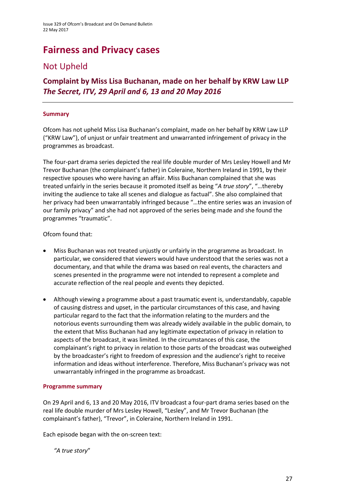## **Fairness and Privacy cases**

### Not Upheld

**Complaint by Miss Lisa Buchanan, made on her behalf by KRW Law LLP** *The Secret, ITV, 29 April and 6, 13 and 20 May 2016*

### **Summary**

Ofcom has not upheld Miss Lisa Buchanan's complaint, made on her behalf by KRW Law LLP ("KRW Law"), of unjust or unfair treatment and unwarranted infringement of privacy in the programmes as broadcast.

The four-part drama series depicted the real life double murder of Mrs Lesley Howell and Mr Trevor Buchanan (the complainant's father) in Coleraine, Northern Ireland in 1991, by their respective spouses who were having an affair. Miss Buchanan complained that she was treated unfairly in the series because it promoted itself as being "*A true story*", "…thereby inviting the audience to take all scenes and dialogue as factual". She also complained that her privacy had been unwarrantably infringed because "…the entire series was an invasion of our family privacy" and she had not approved of the series being made and she found the programmes "traumatic".

Ofcom found that:

- Miss Buchanan was not treated unjustly or unfairly in the programme as broadcast. In particular, we considered that viewers would have understood that the series was not a documentary, and that while the drama was based on real events, the characters and scenes presented in the programme were not intended to represent a complete and accurate reflection of the real people and events they depicted.
- Although viewing a programme about a past traumatic event is, understandably, capable of causing distress and upset, in the particular circumstances of this case, and having particular regard to the fact that the information relating to the murders and the notorious events surrounding them was already widely available in the public domain, to the extent that Miss Buchanan had any legitimate expectation of privacy in relation to aspects of the broadcast, it was limited. In the circumstances of this case, the complainant's right to privacy in relation to those parts of the broadcast was outweighed by the broadcaster's right to freedom of expression and the audience's right to receive information and ideas without interference. Therefore, Miss Buchanan's privacy was not unwarrantably infringed in the programme as broadcast.

#### **Programme summary**

On 29 April and 6, 13 and 20 May 2016, ITV broadcast a four-part drama series based on the real life double murder of Mrs Lesley Howell, "Lesley", and Mr Trevor Buchanan (the complainant's father), "Trevor", in Coleraine, Northern Ireland in 1991.

Each episode began with the on-screen text:

*"A true story*"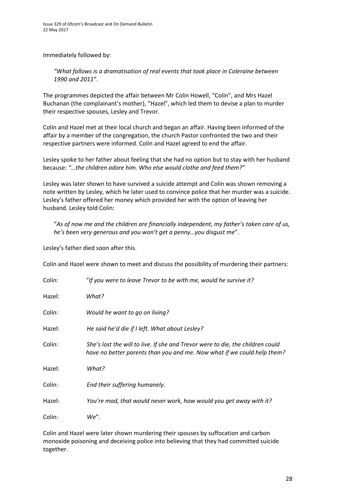Immediately followed by:

*"What follows is a dramatisation of real events that took place in Coleraine between 1990 and 2011"*.

The programmes depicted the affair between Mr Colin Howell, "Colin", and Mrs Hazel Buchanan (the complainant's mother), "Hazel", which led them to devise a plan to murder their respective spouses, Lesley and Trevor.

Colin and Hazel met at their local church and began an affair. Having been informed of the affair by a member of the congregation, the church Pastor confronted the two and their respective partners were informed. Colin and Hazel agreed to end the affair.

Lesley spoke to her father about feeling that she had no option but to stay with her husband because: *"…the children adore him. Who else would clothe and feed them?"*

Lesley was later shown to have survived a suicide attempt and Colin was shown removing a note written by Lesley, which he later used to convince police that her murder was a suicide. Lesley's father offered her money which provided her with the option of leaving her husband. Lesley told Colin:

"*As of now me and the children are financially independent, my father's taken care of us, he's been very generous and you won't get a penny…you disgust me*".

Lesley's father died soon after this.

Colin and Hazel were shown to meet and discuss the possibility of murdering their partners:

| Colin: | "If you were to leave Trevor to be with me, would he survive it?                                                                                          |
|--------|-----------------------------------------------------------------------------------------------------------------------------------------------------------|
| Hazel: | What?                                                                                                                                                     |
| Colin: | Would he want to go on living?                                                                                                                            |
| Hazel: | He said he'd die if I left. What about Lesley?                                                                                                            |
| Colin: | She's lost the will to live. If she and Trevor were to die, the children could<br>have no better parents than you and me. Now what if we could help them? |
| Hazel: | What?                                                                                                                                                     |
| Colin: | End their suffering humanely.                                                                                                                             |
| Hazel: | You're mad, that would never work, how would you get away with it?                                                                                        |
| Colin: | We".                                                                                                                                                      |

Colin and Hazel were later shown murdering their spouses by suffocation and carbon monoxide poisoning and deceiving police into believing that they had committed suicide together.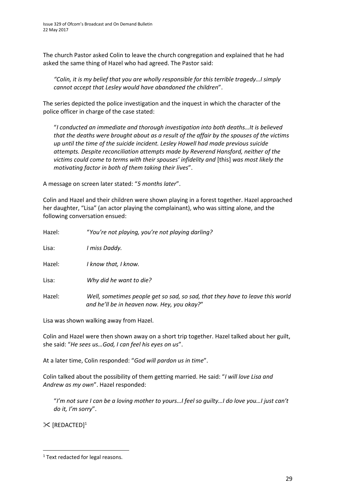The church Pastor asked Colin to leave the church congregation and explained that he had asked the same thing of Hazel who had agreed. The Pastor said:

*"Colin, it is my belief that you are wholly responsible for this terrible tragedy…I simply cannot accept that Lesley would have abandoned the children*".

The series depicted the police investigation and the inquest in which the character of the police officer in charge of the case stated:

"*I conducted an immediate and thorough investigation into both deaths…It is believed that the deaths were brought about as a result of the affair by the spouses of the victims up until the time of the suicide incident. Lesley Howell had made previous suicide attempts. Despite reconciliation attempts made by Reverend Hansford, neither of the victims could come to terms with their spouses' infidelity and* [this] *was most likely the motivating factor in both of them taking their lives*".

A message on screen later stated: "*5 months later*".

Colin and Hazel and their children were shown playing in a forest together. Hazel approached her daughter, "Lisa" (an actor playing the complainant), who was sitting alone, and the following conversation ensued:

| Hazel: | "You're not playing, you're not playing darling?                                                                             |
|--------|------------------------------------------------------------------------------------------------------------------------------|
| Lisa:  | I miss Daddy.                                                                                                                |
| Hazel: | I know that, I know.                                                                                                         |
| Lisa:  | Why did he want to die?                                                                                                      |
| Hazel: | Well, sometimes people get so sad, so sad, that they have to leave this world<br>and he'll be in heaven now. Hey, you okay?" |

Lisa was shown walking away from Hazel.

Colin and Hazel were then shown away on a short trip together. Hazel talked about her guilt, she said: "*He sees us…God, I can feel his eyes on us*".

At a later time, Colin responded: "*God will pardon us in time*".

Colin talked about the possibility of them getting married. He said: "*I will love Lisa and Andrew as my own*". Hazel responded:

"*I'm not sure I can be a loving mother to yours…I feel so guilty…I do love you…I just can't do it, I'm sorry*".

 $\mathbb{X}$  [REDACTED]<sup>1</sup>

**<sup>.</sup>** <sup>1</sup> Text redacted for legal reasons.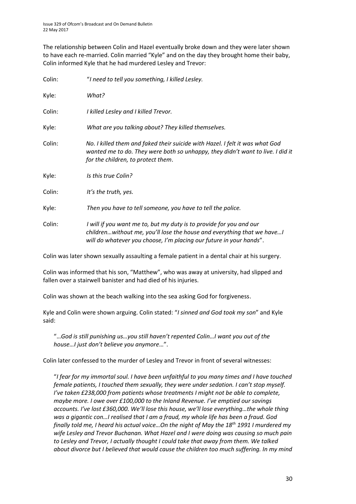The relationship between Colin and Hazel eventually broke down and they were later shown to have each re-married. Colin married "Kyle" and on the day they brought home their baby, Colin informed Kyle that he had murdered Lesley and Trevor:

| Colin: | "I need to tell you something, I killed Lesley.                                                                                                                                                                      |
|--------|----------------------------------------------------------------------------------------------------------------------------------------------------------------------------------------------------------------------|
| Kyle:  | What?                                                                                                                                                                                                                |
| Colin: | I killed Lesley and I killed Trevor.                                                                                                                                                                                 |
| Kyle:  | What are you talking about? They killed themselves.                                                                                                                                                                  |
| Colin: | No. I killed them and faked their suicide with Hazel. I felt it was what God<br>wanted me to do. They were both so unhappy, they didn't want to live. I did it<br>for the children, to protect them.                 |
| Kyle:  | Is this true Colin?                                                                                                                                                                                                  |
| Colin: | It's the truth, yes.                                                                                                                                                                                                 |
| Kyle:  | Then you have to tell someone, you have to tell the police.                                                                                                                                                          |
| Colin: | I will if you want me to, but my duty is to provide for you and our<br>childrenwithout me, you'll lose the house and everything that we have!<br>will do whatever you choose, I'm placing our future in your hands". |

Colin was later shown sexually assaulting a female patient in a dental chair at his surgery.

Colin was informed that his son, "Matthew", who was away at university, had slipped and fallen over a stairwell banister and had died of his injuries.

Colin was shown at the beach walking into the sea asking God for forgiveness.

Kyle and Colin were shown arguing. Colin stated: "*I sinned and God took my son*" and Kyle said:

"…*God is still punishing us…you still haven't repented Colin…I want you out of the house…I just don't believe you anymore*…".

Colin later confessed to the murder of Lesley and Trevor in front of several witnesses:

"*I fear for my immortal soul. I have been unfaithful to you many times and I have touched female patients, I touched them sexually, they were under sedation. I can't stop myself. I've taken £238,000 from patients whose treatments I might not be able to complete, maybe more. I owe over £100,000 to the Inland Revenue. I've emptied our savings accounts. I've lost £360,000. We'll lose this house, we'll lose everything…the whole thing was a gigantic con…I realised that I am a fraud, my whole life has been a fraud. God finally told me, I heard his actual voice…On the night of May the 18th 1991 I murdered my wife Lesley and Trevor Buchanan. What Hazel and I were doing was causing so much pain to Lesley and Trevor, I actually thought I could take that away from them. We talked about divorce but I believed that would cause the children too much suffering. In my mind*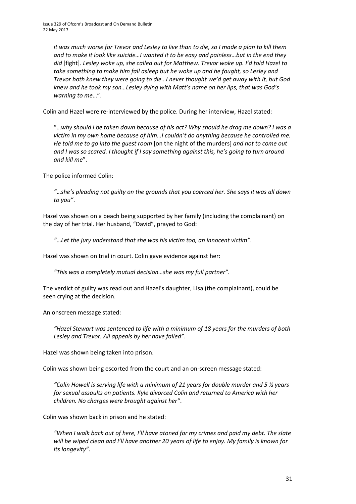*it was much worse for Trevor and Lesley to live than to die, so I made a plan to kill them and to make it look like suicide…I wanted it to be easy and painless…but in the end they did* [fight]*. Lesley woke up, she called out for Matthew. Trevor woke up. I'd told Hazel to*  take something to make him fall asleep but he woke up and he fought, so Lesley and *Trevor both knew they were going to die…I never thought we'd get away with it, but God knew and he took my son…Lesley dying with Matt's name on her lips, that was God's warning to me*…".

Colin and Hazel were re-interviewed by the police. During her interview, Hazel stated:

"…*why should I be taken down because of his act? Why should he drag me down? I was a victim in my own home because of him…I couldn't do anything because he controlled me. He told me to go into the guest room* [on the night of the murders] *and not to come out and I was so scared. I thought if I say something against this, he's going to turn around and kill me*".

The police informed Colin:

*"*…*she's pleading not guilty on the grounds that you coerced her. She says it was all down to you"*.

Hazel was shown on a beach being supported by her family (including the complainant) on the day of her trial. Her husband, "David", prayed to God:

*"*…*Let the jury understand that she was his victim too, an innocent victim"*.

Hazel was shown on trial in court. Colin gave evidence against her:

*"This was a completely mutual decision…she was my full partner".*

The verdict of guilty was read out and Hazel's daughter, Lisa (the complainant), could be seen crying at the decision.

An onscreen message stated:

*"Hazel Stewart was sentenced to life with a minimum of 18 years for the murders of both Lesley and Trevor. All appeals by her have failed"*.

Hazel was shown being taken into prison.

Colin was shown being escorted from the court and an on-screen message stated:

*"Colin Howell is serving life with a minimum of 21 years for double murder and 5 ½ years for sexual assaults on patients. Kyle divorced Colin and returned to America with her children. No charges were brought against her"*.

Colin was shown back in prison and he stated:

*"When I walk back out of here, I'll have atoned for my crimes and paid my debt. The slate will be wiped clean and I'll have another 20 years of life to enjoy. My family is known for its longevity"*.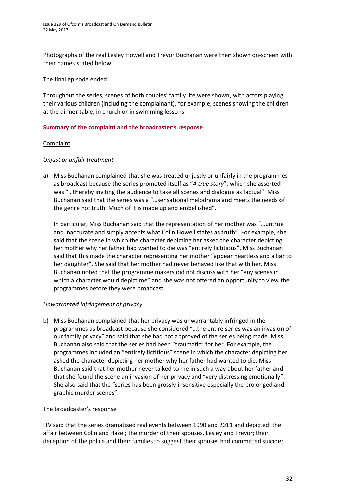Photographs of the real Lesley Howell and Trevor Buchanan were then shown on-screen with their names stated below.

The final episode ended.

Throughout the series, scenes of both couples' family life were shown, with actors playing their various children (including the complainant), for example, scenes showing the children at the dinner table, in church or in swimming lessons.

### **Summary of the complaint and the broadcaster's response**

### Complaint

### *Unjust or unfair treatment*

a) Miss Buchanan complained that she was treated unjustly or unfairly in the programmes as broadcast because the series promoted itself as "*A true story*", which she asserted was "…thereby inviting the audience to take all scenes and dialogue as factual". Miss Buchanan said that the series was a "…sensational melodrama and meets the needs of the genre not truth. Much of it is made up and embellished".

In particular, Miss Buchanan said that the representation of her mother was "…untrue and inaccurate and simply accepts what Colin Howell states as truth". For example, she said that the scene in which the character depicting her asked the character depicting her mother why her father had wanted to die was "entirely fictitious". Miss Buchanan said that this made the character representing her mother "appear heartless and a liar to her daughter". She said that her mother had never behaved like that with her. Miss Buchanan noted that the programme makers did not discuss with her "any scenes in which a character would depict me" and she was not offered an opportunity to view the programmes before they were broadcast.

### *Unwarranted infringement of privacy*

b) Miss Buchanan complained that her privacy was unwarrantably infringed in the programmes as broadcast because she considered "…the entire series was an invasion of our family privacy" and said that she had not approved of the series being made. Miss Buchanan also said that the series had been "traumatic" for her. For example, the programmes included an "entirely fictitious" scene in which the character depicting her asked the character depicting her mother why her father had wanted to die. Miss Buchanan said that her mother never talked to me in such a way about her father and that she found the scene an invasion of her privacy and "very distressing emotionally". She also said that the "series has been grossly insensitive especially the prolonged and graphic murder scenes".

#### The broadcaster's response

ITV said that the series dramatised real events between 1990 and 2011 and depicted: the affair between Colin and Hazel; the murder of their spouses, Lesley and Trevor; their deception of the police and their families to suggest their spouses had committed suicide;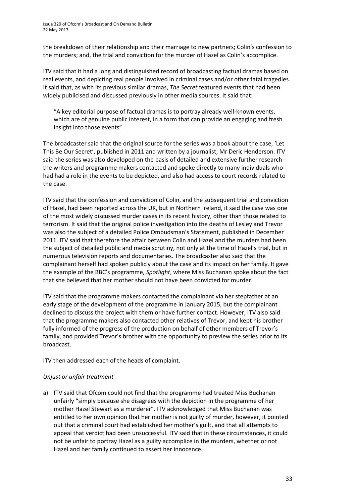the breakdown of their relationship and their marriage to new partners; Colin's confession to the murders; and, the trial and conviction for the murder of Hazel as Colin's accomplice.

ITV said that it had a long and distinguished record of broadcasting factual dramas based on real events, and depicting real people involved in criminal cases and/or other fatal tragedies. It said that, as with its previous similar dramas, *The Secret* featured events that had been widely publicised and discussed previously in other media sources. It said that:

"A key editorial purpose of factual dramas is to portray already well-known events, which are of genuine public interest, in a form that can provide an engaging and fresh insight into those events".

The broadcaster said that the original source for the series was a book about the case, 'Let This Be Our Secret', published in 2011 and written by a journalist, Mr Deric Henderson. ITV said the series was also developed on the basis of detailed and extensive further research the writers and programme makers contacted and spoke directly to many individuals who had had a role in the events to be depicted, and also had access to court records related to the case.

ITV said that the confession and conviction of Colin, and the subsequent trial and conviction of Hazel, had been reported across the UK, but in Northern Ireland, it said the case was one of the most widely discussed murder cases in its recent history, other than those related to terrorism. It said that the original police investigation into the deaths of Lesley and Trevor was also the subject of a detailed Police Ombudsman's Statement, published in December 2011. ITV said that therefore the affair between Colin and Hazel and the murders had been the subject of detailed public and media scrutiny, not only at the time of Hazel's trial, but in numerous television reports and documentaries. The broadcaster also said that the complainant herself had spoken publicly about the case and its impact on her family. It gave the example of the BBC's programme, *Spotlight*, where Miss Buchanan spoke about the fact that she believed that her mother should not have been convicted for murder.

ITV said that the programme makers contacted the complainant via her stepfather at an early stage of the development of the programme in January 2015, but the complainant declined to discuss the project with them or have further contact. However, ITV also said that the programme makers also contacted other relatives of Trevor, and kept his brother fully informed of the progress of the production on behalf of other members of Trevor's family, and provided Trevor's brother with the opportunity to preview the series prior to its broadcast.

ITV then addressed each of the heads of complaint.

### *Unjust or unfair treatment*

a) ITV said that Ofcom could not find that the programme had treated Miss Buchanan unfairly "simply because she disagrees with the depiction in the programme of her mother Hazel Stewart as a murderer". ITV acknowledged that Miss Buchanan was entitled to her own opinion that her mother is not guilty of murder, however, it pointed out that a criminal court had established her mother's guilt, and that all attempts to appeal that verdict had been unsuccessful. ITV said that in these circumstances, it could not be unfair to portray Hazel as a guilty accomplice in the murders, whether or not Hazel and her family continued to assert her innocence.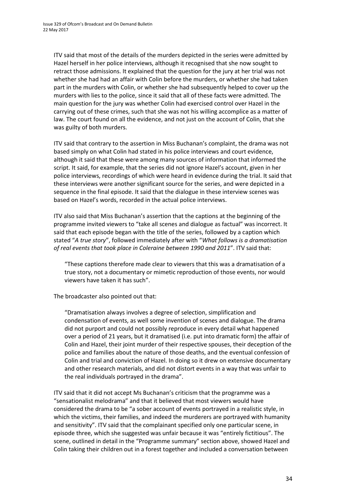ITV said that most of the details of the murders depicted in the series were admitted by Hazel herself in her police interviews, although it recognised that she now sought to retract those admissions. It explained that the question for the jury at her trial was not whether she had had an affair with Colin before the murders, or whether she had taken part in the murders with Colin, or whether she had subsequently helped to cover up the murders with lies to the police, since it said that all of these facts were admitted. The main question for the jury was whether Colin had exercised control over Hazel in the carrying out of these crimes, such that she was not his willing accomplice as a matter of law. The court found on all the evidence, and not just on the account of Colin, that she was guilty of both murders.

ITV said that contrary to the assertion in Miss Buchanan's complaint, the drama was not based simply on what Colin had stated in his police interviews and court evidence, although it said that these were among many sources of information that informed the script. It said, for example, that the series did not ignore Hazel's account, given in her police interviews, recordings of which were heard in evidence during the trial. It said that these interviews were another significant source for the series, and were depicted in a sequence in the final episode. It said that the dialogue in these interview scenes was based on Hazel's words, recorded in the actual police interviews.

ITV also said that Miss Buchanan's assertion that the captions at the beginning of the programme invited viewers to "take all scenes and dialogue as factual" was incorrect. It said that each episode began with the title of the series, followed by a caption which stated "*A true story*", followed immediately after with "*What follows is a dramatisation of real events that took place in Coleraine between 1990 and 2011*". ITV said that:

"These captions therefore made clear to viewers that this was a dramatisation of a true story, not a documentary or mimetic reproduction of those events, nor would viewers have taken it has such".

The broadcaster also pointed out that:

"Dramatisation always involves a degree of selection, simplification and condensation of events, as well some invention of scenes and dialogue. The drama did not purport and could not possibly reproduce in every detail what happened over a period of 21 years, but it dramatised (i.e. put into dramatic form) the affair of Colin and Hazel, their joint murder of their respective spouses, their deception of the police and families about the nature of those deaths, and the eventual confession of Colin and trial and conviction of Hazel. In doing so it drew on extensive documentary and other research materials, and did not distort events in a way that was unfair to the real individuals portrayed in the drama".

ITV said that it did not accept Ms Buchanan's criticism that the programme was a "sensationalist melodrama" and that it believed that most viewers would have considered the drama to be "a sober account of events portrayed in a realistic style, in which the victims, their families, and indeed the murderers are portrayed with humanity and sensitivity". ITV said that the complainant specified only one particular scene, in episode three, which she suggested was unfair because it was "entirely fictitious". The scene, outlined in detail in the "Programme summary" section above, showed Hazel and Colin taking their children out in a forest together and included a conversation between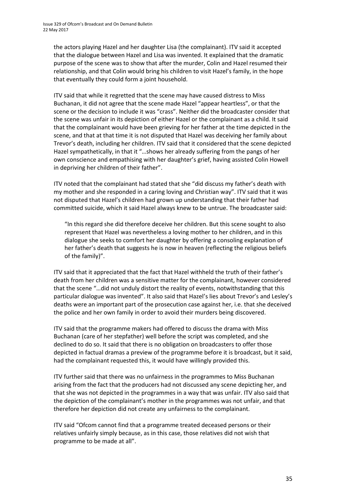the actors playing Hazel and her daughter Lisa (the complainant). ITV said it accepted that the dialogue between Hazel and Lisa was invented. It explained that the dramatic purpose of the scene was to show that after the murder, Colin and Hazel resumed their relationship, and that Colin would bring his children to visit Hazel's family, in the hope that eventually they could form a joint household.

ITV said that while it regretted that the scene may have caused distress to Miss Buchanan, it did not agree that the scene made Hazel "appear heartless", or that the scene or the decision to include it was "crass". Neither did the broadcaster consider that the scene was unfair in its depiction of either Hazel or the complainant as a child. It said that the complainant would have been grieving for her father at the time depicted in the scene, and that at that time it is not disputed that Hazel was deceiving her family about Trevor's death, including her children. ITV said that it considered that the scene depicted Hazel sympathetically, in that it "…shows her already suffering from the pangs of her own conscience and empathising with her daughter's grief, having assisted Colin Howell in depriving her children of their father".

ITV noted that the complainant had stated that she "did discuss my father's death with my mother and she responded in a caring loving and Christian way". ITV said that it was not disputed that Hazel's children had grown up understanding that their father had committed suicide, which it said Hazel always knew to be untrue. The broadcaster said:

"In this regard she did therefore deceive her children. But this scene sought to also represent that Hazel was nevertheless a loving mother to her children, and in this dialogue she seeks to comfort her daughter by offering a consoling explanation of her father's death that suggests he is now in heaven (reflecting the religious beliefs of the family)".

ITV said that it appreciated that the fact that Hazel withheld the truth of their father's death from her children was a sensitive matter for the complainant, however considered that the scene "…did not unduly distort the reality of events, notwithstanding that this particular dialogue was invented". It also said that Hazel's lies about Trevor's and Lesley's deaths were an important part of the prosecution case against her, i.e. that she deceived the police and her own family in order to avoid their murders being discovered.

ITV said that the programme makers had offered to discuss the drama with Miss Buchanan (care of her stepfather) well before the script was completed, and she declined to do so. It said that there is no obligation on broadcasters to offer those depicted in factual dramas a preview of the programme before it is broadcast, but it said, had the complainant requested this, it would have willingly provided this.

ITV further said that there was no unfairness in the programmes to Miss Buchanan arising from the fact that the producers had not discussed any scene depicting her, and that she was not depicted in the programmes in a way that was unfair. ITV also said that the depiction of the complainant's mother in the programmes was not unfair, and that therefore her depiction did not create any unfairness to the complainant.

ITV said "Ofcom cannot find that a programme treated deceased persons or their relatives unfairly simply because, as in this case, those relatives did not wish that programme to be made at all".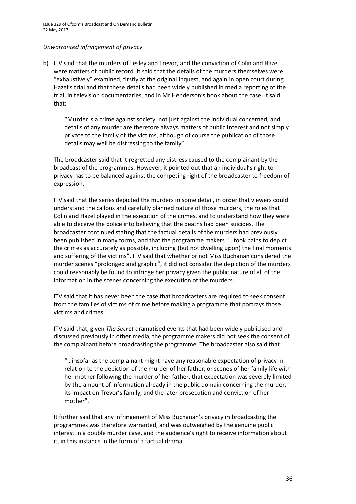Issue 329 of Ofcom's Broadcast and On Demand Bulletin 22 May 2017

#### *Unwarranted infringement of privacy*

b) ITV said that the murders of Lesley and Trevor, and the conviction of Colin and Hazel were matters of public record. It said that the details of the murders themselves were "exhaustively" examined, firstly at the original inquest, and again in open court during Hazel's trial and that these details had been widely published in media reporting of the trial, in television documentaries, and in Mr Henderson's book about the case. It said that:

"Murder is a crime against society, not just against the individual concerned, and details of any murder are therefore always matters of public interest and not simply private to the family of the victims, although of course the publication of those details may well be distressing to the family".

The broadcaster said that it regretted any distress caused to the complainant by the broadcast of the programmes. However, it pointed out that an individual's right to privacy has to be balanced against the competing right of the broadcaster to freedom of expression.

ITV said that the series depicted the murders in some detail, in order that viewers could understand the callous and carefully planned nature of those murders, the roles that Colin and Hazel played in the execution of the crimes, and to understand how they were able to deceive the police into believing that the deaths had been suicides. The broadcaster continued stating that the factual details of the murders had previously been published in many forms, and that the programme makers "…took pains to depict the crimes as accurately as possible, including (but not dwelling upon) the final moments and suffering of the victims". ITV said that whether or not Miss Buchanan considered the murder scenes "prolonged and graphic", it did not consider the depiction of the murders could reasonably be found to infringe her privacy given the public nature of all of the information in the scenes concerning the execution of the murders.

ITV said that it has never been the case that broadcasters are required to seek consent from the families of victims of crime before making a programme that portrays those victims and crimes.

ITV said that, given *The Secret* dramatised events that had been widely publicised and discussed previously in other media, the programme makers did not seek the consent of the complainant before broadcasting the programme. The broadcaster also said that:

"…insofar as the complainant might have any reasonable expectation of privacy in relation to the depiction of the murder of her father, or scenes of her family life with her mother following the murder of her father, that expectation was severely limited by the amount of information already in the public domain concerning the murder, its impact on Trevor's family, and the later prosecution and conviction of her mother".

It further said that any infringement of Miss Buchanan's privacy in broadcasting the programmes was therefore warranted, and was outweighed by the genuine public interest in a double murder case, and the audience's right to receive information about it, in this instance in the form of a factual drama.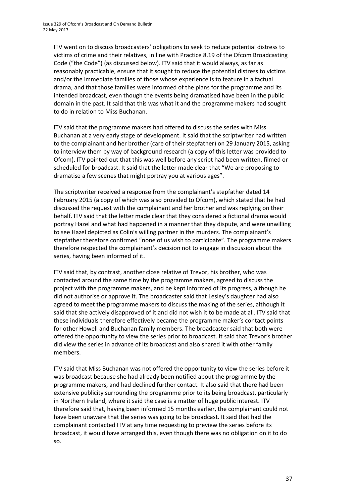ITV went on to discuss broadcasters' obligations to seek to reduce potential distress to victims of crime and their relatives, in line with Practice 8.19 of the Ofcom Broadcasting Code ("the Code") (as discussed below). ITV said that it would always, as far as reasonably practicable, ensure that it sought to reduce the potential distress to victims and/or the immediate families of those whose experience is to feature in a factual drama, and that those families were informed of the plans for the programme and its intended broadcast, even though the events being dramatised have been in the public domain in the past. It said that this was what it and the programme makers had sought to do in relation to Miss Buchanan.

ITV said that the programme makers had offered to discuss the series with Miss Buchanan at a very early stage of development. It said that the scriptwriter had written to the complainant and her brother (care of their stepfather) on 29 January 2015, asking to interview them by way of background research (a copy of this letter was provided to Ofcom). ITV pointed out that this was well before any script had been written, filmed or scheduled for broadcast. It said that the letter made clear that "We are proposing to dramatise a few scenes that might portray you at various ages".

The scriptwriter received a response from the complainant's stepfather dated 14 February 2015 (a copy of which was also provided to Ofcom), which stated that he had discussed the request with the complainant and her brother and was replying on their behalf. ITV said that the letter made clear that they considered a fictional drama would portray Hazel and what had happened in a manner that they dispute, and were unwilling to see Hazel depicted as Colin's willing partner in the murders. The complainant's stepfather therefore confirmed "none of us wish to participate". The programme makers therefore respected the complainant's decision not to engage in discussion about the series, having been informed of it.

ITV said that, by contrast, another close relative of Trevor, his brother, who was contacted around the same time by the programme makers, agreed to discuss the project with the programme makers, and be kept informed of its progress, although he did not authorise or approve it. The broadcaster said that Lesley's daughter had also agreed to meet the programme makers to discuss the making of the series, although it said that she actively disapproved of it and did not wish it to be made at all. ITV said that these individuals therefore effectively became the programme maker's contact points for other Howell and Buchanan family members. The broadcaster said that both were offered the opportunity to view the series prior to broadcast. It said that Trevor's brother did view the series in advance of its broadcast and also shared it with other family members.

ITV said that Miss Buchanan was not offered the opportunity to view the series before it was broadcast because she had already been notified about the programme by the programme makers, and had declined further contact. It also said that there had been extensive publicity surrounding the programme prior to its being broadcast, particularly in Northern Ireland, where it said the case is a matter of huge public interest. ITV therefore said that, having been informed 15 months earlier, the complainant could not have been unaware that the series was going to be broadcast. It said that had the complainant contacted ITV at any time requesting to preview the series before its broadcast, it would have arranged this, even though there was no obligation on it to do so.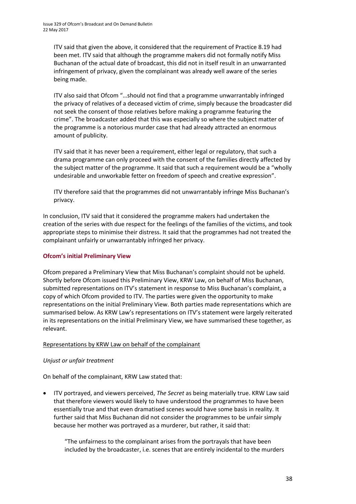ITV said that given the above, it considered that the requirement of Practice 8.19 had been met. ITV said that although the programme makers did not formally notify Miss Buchanan of the actual date of broadcast, this did not in itself result in an unwarranted infringement of privacy, given the complainant was already well aware of the series being made.

ITV also said that Ofcom "…should not find that a programme unwarrantably infringed the privacy of relatives of a deceased victim of crime, simply because the broadcaster did not seek the consent of those relatives before making a programme featuring the crime". The broadcaster added that this was especially so where the subject matter of the programme is a notorious murder case that had already attracted an enormous amount of publicity.

ITV said that it has never been a requirement, either legal or regulatory, that such a drama programme can only proceed with the consent of the families directly affected by the subject matter of the programme. It said that such a requirement would be a "wholly undesirable and unworkable fetter on freedom of speech and creative expression".

ITV therefore said that the programmes did not unwarrantably infringe Miss Buchanan's privacy.

In conclusion, ITV said that it considered the programme makers had undertaken the creation of the series with due respect for the feelings of the families of the victims, and took appropriate steps to minimise their distress. It said that the programmes had not treated the complainant unfairly or unwarrantably infringed her privacy.

### **Ofcom's initial Preliminary View**

Ofcom prepared a Preliminary View that Miss Buchanan's complaint should not be upheld. Shortly before Ofcom issued this Preliminary View, KRW Law, on behalf of Miss Buchanan, submitted representations on ITV's statement in response to Miss Buchanan's complaint, a copy of which Ofcom provided to ITV. The parties were given the opportunity to make representations on the initial Preliminary View. Both parties made representations which are summarised below. As KRW Law's representations on ITV's statement were largely reiterated in its representations on the initial Preliminary View, we have summarised these together, as relevant.

#### Representations by KRW Law on behalf of the complainant

### *Unjust or unfair treatment*

On behalf of the complainant, KRW Law stated that:

 ITV portrayed, and viewers perceived, *The Secret* as being materially true. KRW Law said that therefore viewers would likely to have understood the programmes to have been essentially true and that even dramatised scenes would have some basis in reality. It further said that Miss Buchanan did not consider the programmes to be unfair simply because her mother was portrayed as a murderer, but rather, it said that:

"The unfairness to the complainant arises from the portrayals that have been included by the broadcaster, i.e. scenes that are entirely incidental to the murders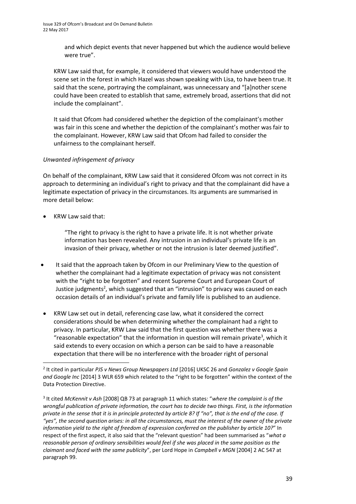and which depict events that never happened but which the audience would believe were true".

KRW Law said that, for example, it considered that viewers would have understood the scene set in the forest in which Hazel was shown speaking with Lisa, to have been true. It said that the scene, portraying the complainant, was unnecessary and "[a]nother scene could have been created to establish that same, extremely broad, assertions that did not include the complainant".

It said that Ofcom had considered whether the depiction of the complainant's mother was fair in this scene and whether the depiction of the complainant's mother was fair to the complainant. However, KRW Law said that Ofcom had failed to consider the unfairness to the complainant herself.

### *Unwanted infringement of privacy*

On behalf of the complainant, KRW Law said that it considered Ofcom was not correct in its approach to determining an individual's right to privacy and that the complainant did have a legitimate expectation of privacy in the circumstances. Its arguments are summarised in more detail below:

KRW Law said that:

1

"The right to privacy is the right to have a private life. It is not whether private information has been revealed. Any intrusion in an individual's private life is an invasion of their privacy, whether or not the intrusion is later deemed justified".

- It said that the approach taken by Ofcom in our Preliminary View to the question of whether the complainant had a legitimate expectation of privacy was not consistent with the "right to be forgotten" and recent Supreme Court and European Court of Justice judgments<sup>2</sup>, which suggested that an "intrusion" to privacy was caused on each occasion details of an individual's private and family life is published to an audience.
- KRW Law set out in detail, referencing case law, what it considered the correct considerations should be when determining whether the complainant had a right to privacy. In particular, KRW Law said that the first question was whether there was a "reasonable expectation" that the information in question will remain private<sup>3</sup>, which it said extends to every occasion on which a person can be said to have a reasonable expectation that there will be no interference with the broader right of personal

<sup>2</sup> It cited in particular *PJS v News Group Newspapers Ltd* [2016] UKSC 26 and *Gonzalez v Google Spain and Google Inc* [2014] 3 WLR 659 which related to the "right to be forgotten" within the context of the Data Protection Directive.

<sup>3</sup> It cited *McKennit v Ash* [2008] QB 73 at paragraph 11 which states: "*where the complaint is of the wrongful publication of private information, the court has to decide two things. First, is the information private in the sense that it is in principle protected by article 8? If "no", that is the end of the case. If "yes", the second question arises: in all the circumstances, must the interest of the owner of the private information yield to the right of freedom of expression conferred on the publisher by article 10?*" In respect of the first aspect, it also said that the "relevant question" had been summarised as "*what a reasonable person of ordinary sensibilities would feel if she was placed in the same position as the claimant and faced with the same publicity*", per Lord Hope in *Campbell v MGN* [2004] 2 AC 547 at paragraph 99.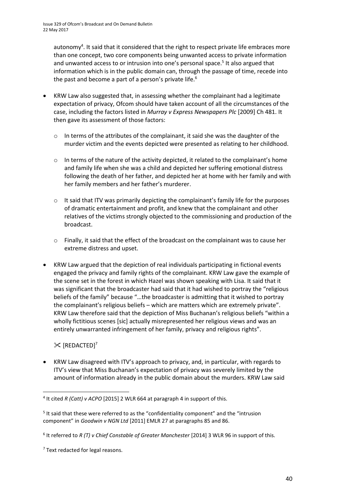autonomy<sup>4</sup>. It said that it considered that the right to respect private life embraces more than one concept, two core components being unwanted access to private information and unwanted access to or intrusion into one's personal space.<sup>5</sup> It also argued that information which is in the public domain can, through the passage of time, recede into the past and become a part of a person's private life.<sup>6</sup>

- KRW Law also suggested that, in assessing whether the complainant had a legitimate expectation of privacy, Ofcom should have taken account of all the circumstances of the case, including the factors listed in *Murray v Express Newspapers Plc* [2009] Ch 481. It then gave its assessment of those factors:
	- $\circ$  In terms of the attributes of the complainant, it said she was the daughter of the murder victim and the events depicted were presented as relating to her childhood.
	- o In terms of the nature of the activity depicted, it related to the complainant's home and family life when she was a child and depicted her suffering emotional distress following the death of her father, and depicted her at home with her family and with her family members and her father's murderer.
	- $\circ$  It said that ITV was primarily depicting the complainant's family life for the purposes of dramatic entertainment and profit, and knew that the complainant and other relatives of the victims strongly objected to the commissioning and production of the broadcast.
	- o Finally, it said that the effect of the broadcast on the complainant was to cause her extreme distress and upset.
- KRW Law argued that the depiction of real individuals participating in fictional events engaged the privacy and family rights of the complainant. KRW Law gave the example of the scene set in the forest in which Hazel was shown speaking with Lisa. It said that it was significant that the broadcaster had said that it had wished to portray the "religious beliefs of the family" because "…the broadcaster is admitting that it wished to portray the complainant's religious beliefs – which are matters which are extremely private". KRW Law therefore said that the depiction of Miss Buchanan's religious beliefs "within a wholly fictitious scenes [sic] actually misrepresented her religious views and was an entirely unwarranted infringement of her family, privacy and religious rights".

### $\mathcal{K}$  [REDACTED]<sup>7</sup>

1

 KRW Law disagreed with ITV's approach to privacy, and, in particular, with regards to ITV's view that Miss Buchanan's expectation of privacy was severely limited by the amount of information already in the public domain about the murders. KRW Law said

<sup>4</sup> It cited *R (Catt) v ACPO* [2015] 2 WLR 664 at paragraph 4 in support of this.

<sup>&</sup>lt;sup>5</sup> It said that these were referred to as the "confidentiality component" and the "intrusion component" in *Goodwin v NGN Ltd* [2011] EMLR 27 at paragraphs 85 and 86.

<sup>6</sup> It referred to *R (T) v Chief Constable of Greater Manchester* [2014] 3 WLR 96 in support of this.

<sup>&</sup>lt;sup>7</sup> Text redacted for legal reasons.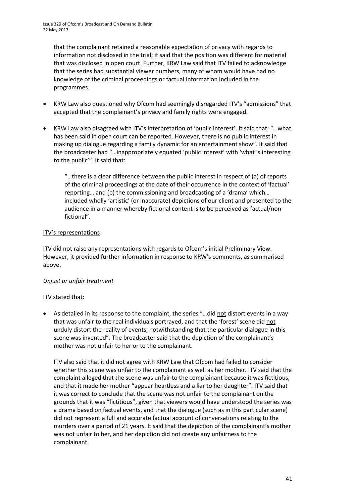that the complainant retained a reasonable expectation of privacy with regards to information not disclosed in the trial; it said that the position was different for material that was disclosed in open court. Further, KRW Law said that ITV failed to acknowledge that the series had substantial viewer numbers, many of whom would have had no knowledge of the criminal proceedings or factual information included in the programmes.

- KRW Law also questioned why Ofcom had seemingly disregarded ITV's "admissions" that accepted that the complainant's privacy and family rights were engaged.
- KRW Law also disagreed with ITV's interpretation of 'public interest'. It said that: "…what has been said in open court can be reported. However, there is no public interest in making up dialogue regarding a family dynamic for an entertainment show". It said that the broadcaster had "…inappropriately equated 'public interest' with 'what is interesting to the public'". It said that:

"…there is a clear difference between the public interest in respect of (a) of reports of the criminal proceedings at the date of their occurrence in the context of 'factual' reporting… and (b) the commissioning and broadcasting of a 'drama' which… included wholly 'artistic' (or inaccurate) depictions of our client and presented to the audience in a manner whereby fictional content is to be perceived as factual/nonfictional".

### ITV's representations

ITV did not raise any representations with regards to Ofcom's initial Preliminary View. However, it provided further information in response to KRW's comments, as summarised above.

### *Unjust or unfair treatment*

### ITV stated that:

 As detailed in its response to the complaint, the series "…did not distort events in a way that was unfair to the real individuals portrayed, and that the 'forest' scene did not unduly distort the reality of events, notwithstanding that the particular dialogue in this scene was invented". The broadcaster said that the depiction of the complainant's mother was not unfair to her or to the complainant.

ITV also said that it did not agree with KRW Law that Ofcom had failed to consider whether this scene was unfair to the complainant as well as her mother. ITV said that the complaint alleged that the scene was unfair to the complainant because it was fictitious, and that it made her mother "appear heartless and a liar to her daughter". ITV said that it was correct to conclude that the scene was not unfair to the complainant on the grounds that it was "fictitious", given that viewers would have understood the series was a drama based on factual events, and that the dialogue (such as in this particular scene) did not represent a full and accurate factual account of conversations relating to the murders over a period of 21 years. It said that the depiction of the complainant's mother was not unfair to her, and her depiction did not create any unfairness to the complainant.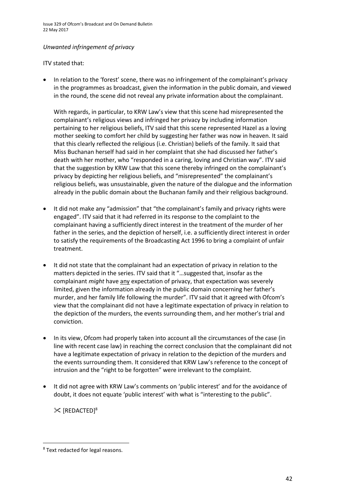### *Unwanted infringement of privacy*

ITV stated that:

 In relation to the 'forest' scene, there was no infringement of the complainant's privacy in the programmes as broadcast, given the information in the public domain, and viewed in the round, the scene did not reveal any private information about the complainant.

With regards, in particular, to KRW Law's view that this scene had misrepresented the complainant's religious views and infringed her privacy by including information pertaining to her religious beliefs, ITV said that this scene represented Hazel as a loving mother seeking to comfort her child by suggesting her father was now in heaven. It said that this clearly reflected the religious (i.e. Christian) beliefs of the family. It said that Miss Buchanan herself had said in her complaint that she had discussed her father's death with her mother, who "responded in a caring, loving and Christian way". ITV said that the suggestion by KRW Law that this scene thereby infringed on the complainant's privacy by depicting her religious beliefs, and "misrepresented" the complainant's religious beliefs, was unsustainable, given the nature of the dialogue and the information already in the public domain about the Buchanan family and their religious background.

- It did not make any "admission" that "the complainant's family and privacy rights were engaged". ITV said that it had referred in its response to the complaint to the complainant having a sufficiently direct interest in the treatment of the murder of her father in the series, and the depiction of herself, i.e. a sufficiently direct interest in order to satisfy the requirements of the Broadcasting Act 1996 to bring a complaint of unfair treatment.
- It did not state that the complainant had an expectation of privacy in relation to the matters depicted in the series. ITV said that it "…suggested that, insofar as the complainant *might* have any expectation of privacy, that expectation was severely limited, given the information already in the public domain concerning her father's murder, and her family life following the murder". ITV said that it agreed with Ofcom's view that the complainant did not have a legitimate expectation of privacy in relation to the depiction of the murders, the events surrounding them, and her mother's trial and conviction.
- In its view, Ofcom had properly taken into account all the circumstances of the case (in line with recent case law) in reaching the correct conclusion that the complainant did not have a legitimate expectation of privacy in relation to the depiction of the murders and the events surrounding them. It considered that KRW Law's reference to the concept of intrusion and the "right to be forgotten" were irrelevant to the complaint.
- It did not agree with KRW Law's comments on 'public interest' and for the avoidance of doubt, it does not equate 'public interest' with what is "interesting to the public".

 $\mathcal{K}$  [REDACTED]<sup>8</sup>

**.** 

<sup>8</sup> Text redacted for legal reasons.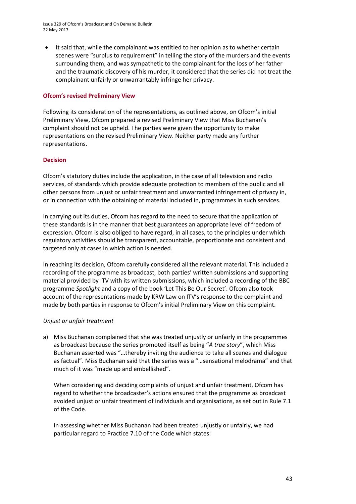Issue 329 of Ofcom's Broadcast and On Demand Bulletin 22 May 2017

 It said that, while the complainant was entitled to her opinion as to whether certain scenes were "surplus to requirement" in telling the story of the murders and the events surrounding them, and was sympathetic to the complainant for the loss of her father and the traumatic discovery of his murder, it considered that the series did not treat the complainant unfairly or unwarrantably infringe her privacy.

#### **Ofcom's revised Preliminary View**

Following its consideration of the representations, as outlined above, on Ofcom's initial Preliminary View, Ofcom prepared a revised Preliminary View that Miss Buchanan's complaint should not be upheld. The parties were given the opportunity to make representations on the revised Preliminary View. Neither party made any further representations.

### **Decision**

Ofcom's statutory duties include the application, in the case of all television and radio services, of standards which provide adequate protection to members of the public and all other persons from unjust or unfair treatment and unwarranted infringement of privacy in, or in connection with the obtaining of material included in, programmes in such services.

In carrying out its duties, Ofcom has regard to the need to secure that the application of these standards is in the manner that best guarantees an appropriate level of freedom of expression. Ofcom is also obliged to have regard, in all cases, to the principles under which regulatory activities should be transparent, accountable, proportionate and consistent and targeted only at cases in which action is needed.

In reaching its decision, Ofcom carefully considered all the relevant material. This included a recording of the programme as broadcast, both parties' written submissions and supporting material provided by ITV with its written submissions, which included a recording of the BBC programme *Spotlight* and a copy of the book 'Let This Be Our Secret'. Ofcom also took account of the representations made by KRW Law on ITV's response to the complaint and made by both parties in response to Ofcom's initial Preliminary View on this complaint.

#### *Unjust or unfair treatment*

a) Miss Buchanan complained that she was treated unjustly or unfairly in the programmes as broadcast because the series promoted itself as being "*A true story*", which Miss Buchanan asserted was "…thereby inviting the audience to take all scenes and dialogue as factual". Miss Buchanan said that the series was a "…sensational melodrama" and that much of it was "made up and embellished".

When considering and deciding complaints of unjust and unfair treatment, Ofcom has regard to whether the broadcaster's actions ensured that the programme as broadcast avoided unjust or unfair treatment of individuals and organisations, as set out in Rule 7.1 of the Code.

In assessing whether Miss Buchanan had been treated unjustly or unfairly, we had particular regard to Practice 7.10 of the Code which states: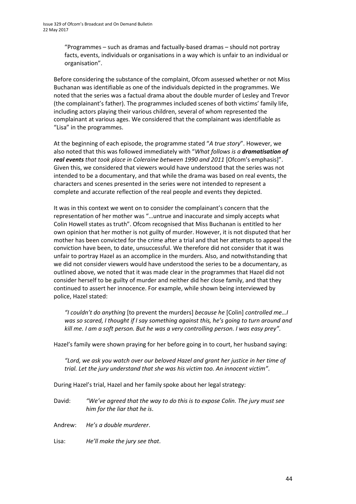"Programmes – such as dramas and factually-based dramas – should not portray facts, events, individuals or organisations in a way which is unfair to an individual or organisation".

Before considering the substance of the complaint, Ofcom assessed whether or not Miss Buchanan was identifiable as one of the individuals depicted in the programmes. We noted that the series was a factual drama about the double murder of Lesley and Trevor (the complainant's father). The programmes included scenes of both victims' family life, including actors playing their various children, several of whom represented the complainant at various ages. We considered that the complainant was identifiable as "Lisa" in the programmes.

At the beginning of each episode, the programme stated "*A true story*". However, we also noted that this was followed immediately with "*What follows is a dramatisation of real events that took place in Coleraine between 1990 and 2011* [Ofcom's emphasis]". Given this, we considered that viewers would have understood that the series was not intended to be a documentary, and that while the drama was based on real events, the characters and scenes presented in the series were not intended to represent a complete and accurate reflection of the real people and events they depicted.

It was in this context we went on to consider the complainant's concern that the representation of her mother was "…untrue and inaccurate and simply accepts what Colin Howell states as truth". Ofcom recognised that Miss Buchanan is entitled to her own opinion that her mother is not guilty of murder. However, it is not disputed that her mother has been convicted for the crime after a trial and that her attempts to appeal the conviction have been, to date, unsuccessful. We therefore did not consider that it was unfair to portray Hazel as an accomplice in the murders. Also, and notwithstanding that we did not consider viewers would have understood the series to be a documentary, as outlined above, we noted that it was made clear in the programmes that Hazel did not consider herself to be guilty of murder and neither did her close family, and that they continued to assert her innocence. For example, while shown being interviewed by police, Hazel stated:

*"I couldn't do anything* [to prevent the murders] *because he* [Colin] *controlled me…I was so scared, I thought if I say something against this, he's going to turn around and kill me. I am a soft person. But he was a very controlling person. I was easy prey"*.

Hazel's family were shown praying for her before going in to court, her husband saying:

*"Lord, we ask you watch over our beloved Hazel and grant her justice in her time of trial. Let the jury understand that she was his victim too. An innocent victim"*.

During Hazel's trial, Hazel and her family spoke about her legal strategy:

David: *"We've agreed that the way to do this is to expose Colin. The jury must see him for the liar that he is*.

Andrew: *He's a double murderer*.

Lisa: *He'll make the jury see that*.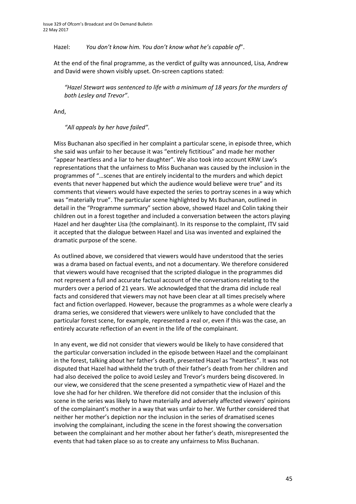Hazel: *You don't know him. You don't know what he's capable of*".

At the end of the final programme, as the verdict of guilty was announced, Lisa, Andrew and David were shown visibly upset. On-screen captions stated:

*"Hazel Stewart was sentenced to life with a minimum of 18 years for the murders of both Lesley and Trevor"*.

And,

*"All appeals by her have failed".*

Miss Buchanan also specified in her complaint a particular scene, in episode three, which she said was unfair to her because it was "entirely fictitious" and made her mother "appear heartless and a liar to her daughter". We also took into account KRW Law's representations that the unfairness to Miss Buchanan was caused by the inclusion in the programmes of "…scenes that are entirely incidental to the murders and which depict events that never happened but which the audience would believe were true" and its comments that viewers would have expected the series to portray scenes in a way which was "materially true". The particular scene highlighted by Ms Buchanan, outlined in detail in the "Programme summary" section above, showed Hazel and Colin taking their children out in a forest together and included a conversation between the actors playing Hazel and her daughter Lisa (the complainant). In its response to the complaint, ITV said it accepted that the dialogue between Hazel and Lisa was invented and explained the dramatic purpose of the scene.

As outlined above, we considered that viewers would have understood that the series was a drama based on factual events, and not a documentary. We therefore considered that viewers would have recognised that the scripted dialogue in the programmes did not represent a full and accurate factual account of the conversations relating to the murders over a period of 21 years. We acknowledged that the drama did include real facts and considered that viewers may not have been clear at all times precisely where fact and fiction overlapped. However, because the programmes as a whole were clearly a drama series, we considered that viewers were unlikely to have concluded that the particular forest scene, for example, represented a real or, even if this was the case, an entirely accurate reflection of an event in the life of the complainant.

In any event, we did not consider that viewers would be likely to have considered that the particular conversation included in the episode between Hazel and the complainant in the forest, talking about her father's death, presented Hazel as "heartless". It was not disputed that Hazel had withheld the truth of their father's death from her children and had also deceived the police to avoid Lesley and Trevor's murders being discovered. In our view, we considered that the scene presented a sympathetic view of Hazel and the love she had for her children. We therefore did not consider that the inclusion of this scene in the series was likely to have materially and adversely affected viewers' opinions of the complainant's mother in a way that was unfair to her. We further considered that neither her mother's depiction nor the inclusion in the series of dramatised scenes involving the complainant, including the scene in the forest showing the conversation between the complainant and her mother about her father's death, misrepresented the events that had taken place so as to create any unfairness to Miss Buchanan.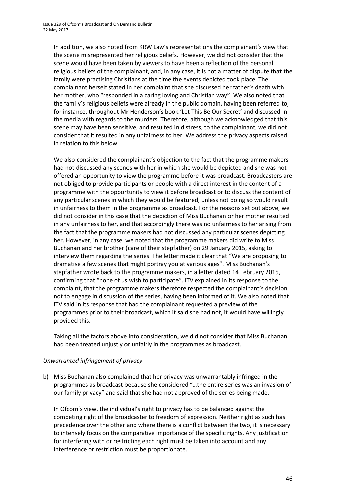In addition, we also noted from KRW Law's representations the complainant's view that the scene misrepresented her religious beliefs. However, we did not consider that the scene would have been taken by viewers to have been a reflection of the personal religious beliefs of the complainant, and, in any case, it is not a matter of dispute that the family were practising Christians at the time the events depicted took place. The complainant herself stated in her complaint that she discussed her father's death with her mother, who "responded in a caring loving and Christian way". We also noted that the family's religious beliefs were already in the public domain, having been referred to, for instance, throughout Mr Henderson's book 'Let This Be Our Secret' and discussed in the media with regards to the murders. Therefore, although we acknowledged that this scene may have been sensitive, and resulted in distress, to the complainant, we did not consider that it resulted in any unfairness to her. We address the privacy aspects raised in relation to this below.

We also considered the complainant's objection to the fact that the programme makers had not discussed any scenes with her in which she would be depicted and she was not offered an opportunity to view the programme before it was broadcast. Broadcasters are not obliged to provide participants or people with a direct interest in the content of a programme with the opportunity to view it before broadcast or to discuss the content of any particular scenes in which they would be featured, unless not doing so would result in unfairness to them in the programme as broadcast. For the reasons set out above, we did not consider in this case that the depiction of Miss Buchanan or her mother resulted in any unfairness to her, and that accordingly there was no unfairness to her arising from the fact that the programme makers had not discussed any particular scenes depicting her. However, in any case, we noted that the programme makers did write to Miss Buchanan and her brother (care of their stepfather) on 29 January 2015, asking to interview them regarding the series. The letter made it clear that "We are proposing to dramatise a few scenes that might portray you at various ages". Miss Buchanan's stepfather wrote back to the programme makers, in a letter dated 14 February 2015, confirming that "none of us wish to participate". ITV explained in its response to the complaint, that the programme makers therefore respected the complainant's decision not to engage in discussion of the series, having been informed of it. We also noted that ITV said in its response that had the complainant requested a preview of the programmes prior to their broadcast, which it said she had not, it would have willingly provided this.

Taking all the factors above into consideration, we did not consider that Miss Buchanan had been treated unjustly or unfairly in the programmes as broadcast.

### *Unwarranted infringement of privacy*

b) Miss Buchanan also complained that her privacy was unwarrantably infringed in the programmes as broadcast because she considered "…the entire series was an invasion of our family privacy" and said that she had not approved of the series being made.

In Ofcom's view, the individual's right to privacy has to be balanced against the competing right of the broadcaster to freedom of expression. Neither right as such has precedence over the other and where there is a conflict between the two, it is necessary to intensely focus on the comparative importance of the specific rights. Any justification for interfering with or restricting each right must be taken into account and any interference or restriction must be proportionate.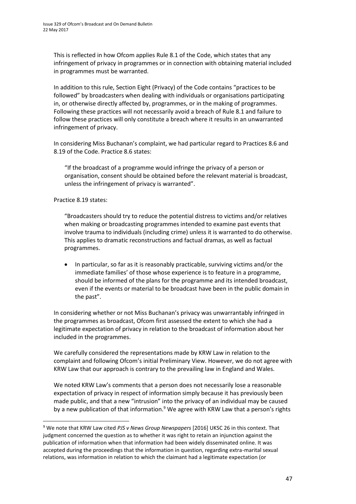This is reflected in how Ofcom applies Rule 8.1 of the Code, which states that any infringement of privacy in programmes or in connection with obtaining material included in programmes must be warranted.

In addition to this rule, Section Eight (Privacy) of the Code contains "practices to be followed" by broadcasters when dealing with individuals or organisations participating in, or otherwise directly affected by, programmes, or in the making of programmes. Following these practices will not necessarily avoid a breach of Rule 8.1 and failure to follow these practices will only constitute a breach where it results in an unwarranted infringement of privacy.

In considering Miss Buchanan's complaint, we had particular regard to Practices 8.6 and 8.19 of the Code. Practice 8.6 states:

"If the broadcast of a programme would infringe the privacy of a person or organisation, consent should be obtained before the relevant material is broadcast, unless the infringement of privacy is warranted".

Practice 8.19 states:

 $\overline{a}$ 

"Broadcasters should try to reduce the potential distress to victims and/or relatives when making or broadcasting programmes intended to examine past events that involve trauma to individuals (including crime) unless it is warranted to do otherwise. This applies to dramatic reconstructions and factual dramas, as well as factual programmes.

• In particular, so far as it is reasonably practicable, surviving victims and/or the immediate families' of those whose experience is to feature in a programme, should be informed of the plans for the programme and its intended broadcast, even if the events or material to be broadcast have been in the public domain in the past".

In considering whether or not Miss Buchanan's privacy was unwarrantably infringed in the programmes as broadcast, Ofcom first assessed the extent to which she had a legitimate expectation of privacy in relation to the broadcast of information about her included in the programmes.

We carefully considered the representations made by KRW Law in relation to the complaint and following Ofcom's initial Preliminary View. However, we do not agree with KRW Law that our approach is contrary to the prevailing law in England and Wales.

We noted KRW Law's comments that a person does not necessarily lose a reasonable expectation of privacy in respect of information simply because it has previously been made public, and that a new "intrusion" into the privacy of an individual may be caused by a new publication of that information.<sup>9</sup> We agree with KRW Law that a person's rights

<sup>9</sup> We note that KRW Law cited *PJS v News Group Newspapers* [2016] UKSC 26 in this context. That judgment concerned the question as to whether it was right to retain an injunction against the publication of information when that information had been widely disseminated online. It was accepted during the proceedings that the information in question, regarding extra-marital sexual relations, was information in relation to which the claimant had a legitimate expectation (or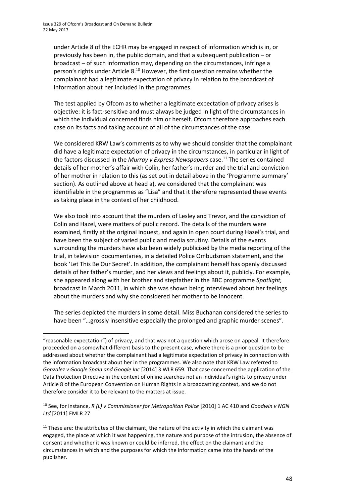**.** 

under Article 8 of the ECHR may be engaged in respect of information which is in, or previously has been in, the public domain, and that a subsequent publication – or broadcast – of such information may, depending on the circumstances, infringe a person's rights under Article 8.<sup>10</sup> However, the first question remains whether the complainant had a legitimate expectation of privacy in relation to the broadcast of information about her included in the programmes.

The test applied by Ofcom as to whether a legitimate expectation of privacy arises is objective: it is fact-sensitive and must always be judged in light of the circumstances in which the individual concerned finds him or herself. Ofcom therefore approaches each case on its facts and taking account of all of the circumstances of the case.

We considered KRW Law's comments as to why we should consider that the complainant did have a legitimate expectation of privacy in the circumstances, in particular in light of the factors discussed in the *Murray v Express Newspapers* case.<sup>11</sup> The series contained details of her mother's affair with Colin, her father's murder and the trial and conviction of her mother in relation to this (as set out in detail above in the 'Programme summary' section). As outlined above at head a), we considered that the complainant was identifiable in the programmes as "Lisa" and that it therefore represented these events as taking place in the context of her childhood.

We also took into account that the murders of Lesley and Trevor, and the conviction of Colin and Hazel, were matters of public record. The details of the murders were examined, firstly at the original inquest, and again in open court during Hazel's trial, and have been the subject of varied public and media scrutiny. Details of the events surrounding the murders have also been widely publicised by the media reporting of the trial, in television documentaries, in a detailed Police Ombudsman statement, and the book 'Let This Be Our Secret'. In addition, the complainant herself has openly discussed details of her father's murder, and her views and feelings about it, publicly. For example, she appeared along with her brother and stepfather in the BBC programme *Spotlight,*  broadcast in March 2011, in which she was shown being interviewed about her feelings about the murders and why she considered her mother to be innocent.

The series depicted the murders in some detail. Miss Buchanan considered the series to have been "…grossly insensitive especially the prolonged and graphic murder scenes".

<sup>&</sup>quot;reasonable expectation") of privacy, and that was not a question which arose on appeal. It therefore proceeded on a somewhat different basis to the present case, where there is a prior question to be addressed about whether the complainant had a legitimate expectation of privacy in connection with the information broadcast about her in the programmes. We also note that KRW Law referred to *Gonzalez v Google Spain and Google Inc* [2014] 3 WLR 659. That case concerned the application of the Data Protection Directive in the context of online searches not an individual's rights to privacy under Article 8 of the European Convention on Human Rights in a broadcasting context, and we do not therefore consider it to be relevant to the matters at issue.

<sup>10</sup> See, for instance, *R (L) v Commissioner for Metropolitan Police* [2010] 1 AC 410 and *Goodwin v NGN Ltd* [2011] EMLR 27

 $11$  These are: the attributes of the claimant, the nature of the activity in which the claimant was engaged, the place at which it was happening, the nature and purpose of the intrusion, the absence of consent and whether it was known or could be inferred, the effect on the claimant and the circumstances in which and the purposes for which the information came into the hands of the publisher.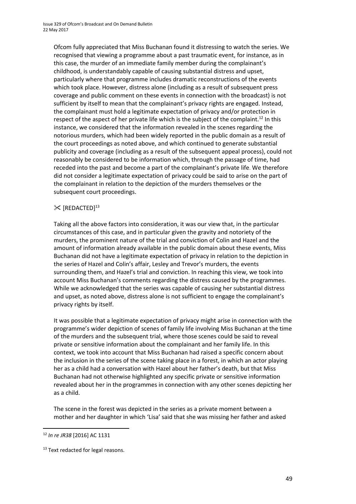Ofcom fully appreciated that Miss Buchanan found it distressing to watch the series. We recognised that viewing a programme about a past traumatic event, for instance, as in this case, the murder of an immediate family member during the complainant's childhood, is understandably capable of causing substantial distress and upset, particularly where that programme includes dramatic reconstructions of the events which took place. However, distress alone (including as a result of subsequent press coverage and public comment on these events in connection with the broadcast) is not sufficient by itself to mean that the complainant's privacy rights are engaged. Instead, the complainant must hold a legitimate expectation of privacy and/or protection in respect of the aspect of her private life which is the subject of the complaint.<sup>12</sup> In this instance, we considered that the information revealed in the scenes regarding the notorious murders, which had been widely reported in the public domain as a result of the court proceedings as noted above, and which continued to generate substantial publicity and coverage (including as a result of the subsequent appeal process), could not reasonably be considered to be information which, through the passage of time, had receded into the past and become a part of the complainant's private life. We therefore did not consider a legitimate expectation of privacy could be said to arise on the part of the complainant in relation to the depiction of the murders themselves or the subsequent court proceedings.

### $\mathbb{X}$  [REDACTED]<sup>13</sup>

Taking all the above factors into consideration, it was our view that, in the particular circumstances of this case, and in particular given the gravity and notoriety of the murders, the prominent nature of the trial and conviction of Colin and Hazel and the amount of information already available in the public domain about these events, Miss Buchanan did not have a legitimate expectation of privacy in relation to the depiction in the series of Hazel and Colin's affair, Lesley and Trevor's murders, the events surrounding them, and Hazel's trial and conviction. In reaching this view, we took into account Miss Buchanan's comments regarding the distress caused by the programmes. While we acknowledged that the series was capable of causing her substantial distress and upset, as noted above, distress alone is not sufficient to engage the complainant's privacy rights by itself.

It was possible that a legitimate expectation of privacy might arise in connection with the programme's wider depiction of scenes of family life involving Miss Buchanan at the time of the murders and the subsequent trial, where those scenes could be said to reveal private or sensitive information about the complainant and her family life. In this context, we took into account that Miss Buchanan had raised a specific concern about the inclusion in the series of the scene taking place in a forest, in which an actor playing her as a child had a conversation with Hazel about her father's death, but that Miss Buchanan had not otherwise highlighted any specific private or sensitive information revealed about her in the programmes in connection with any other scenes depicting her as a child.

The scene in the forest was depicted in the series as a private moment between a mother and her daughter in which 'Lisa' said that she was missing her father and asked

**.** 

<sup>12</sup> *In re JR38* [2016] AC 1131

<sup>&</sup>lt;sup>13</sup> Text redacted for legal reasons.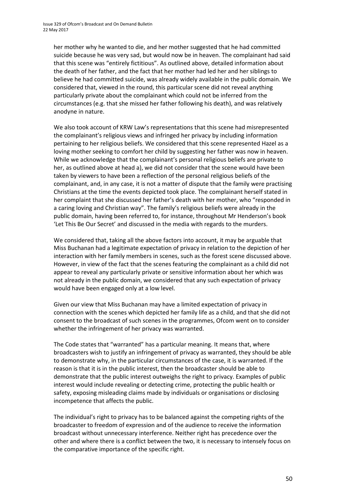her mother why he wanted to die, and her mother suggested that he had committed suicide because he was very sad, but would now be in heaven. The complainant had said that this scene was "entirely fictitious". As outlined above, detailed information about the death of her father, and the fact that her mother had led her and her siblings to believe he had committed suicide, was already widely available in the public domain. We considered that, viewed in the round, this particular scene did not reveal anything particularly private about the complainant which could not be inferred from the circumstances (e.g. that she missed her father following his death), and was relatively anodyne in nature.

We also took account of KRW Law's representations that this scene had misrepresented the complainant's religious views and infringed her privacy by including information pertaining to her religious beliefs. We considered that this scene represented Hazel as a loving mother seeking to comfort her child by suggesting her father was now in heaven. While we acknowledge that the complainant's personal religious beliefs are private to her, as outlined above at head a), we did not consider that the scene would have been taken by viewers to have been a reflection of the personal religious beliefs of the complainant, and, in any case, it is not a matter of dispute that the family were practising Christians at the time the events depicted took place. The complainant herself stated in her complaint that she discussed her father's death with her mother, who "responded in a caring loving and Christian way". The family's religious beliefs were already in the public domain, having been referred to, for instance, throughout Mr Henderson's book 'Let This Be Our Secret' and discussed in the media with regards to the murders.

We considered that, taking all the above factors into account, it may be arguable that Miss Buchanan had a legitimate expectation of privacy in relation to the depiction of her interaction with her family members in scenes, such as the forest scene discussed above. However, in view of the fact that the scenes featuring the complainant as a child did not appear to reveal any particularly private or sensitive information about her which was not already in the public domain, we considered that any such expectation of privacy would have been engaged only at a low level.

Given our view that Miss Buchanan may have a limited expectation of privacy in connection with the scenes which depicted her family life as a child, and that she did not consent to the broadcast of such scenes in the programmes, Ofcom went on to consider whether the infringement of her privacy was warranted.

The Code states that "warranted" has a particular meaning. It means that, where broadcasters wish to justify an infringement of privacy as warranted, they should be able to demonstrate why, in the particular circumstances of the case, it is warranted. If the reason is that it is in the public interest, then the broadcaster should be able to demonstrate that the public interest outweighs the right to privacy. Examples of public interest would include revealing or detecting crime, protecting the public health or safety, exposing misleading claims made by individuals or organisations or disclosing incompetence that affects the public.

The individual's right to privacy has to be balanced against the competing rights of the broadcaster to freedom of expression and of the audience to receive the information broadcast without unnecessary interference. Neither right has precedence over the other and where there is a conflict between the two, it is necessary to intensely focus on the comparative importance of the specific right.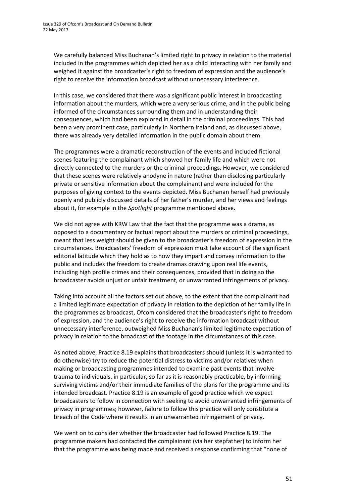We carefully balanced Miss Buchanan's limited right to privacy in relation to the material included in the programmes which depicted her as a child interacting with her family and weighed it against the broadcaster's right to freedom of expression and the audience's right to receive the information broadcast without unnecessary interference.

In this case, we considered that there was a significant public interest in broadcasting information about the murders, which were a very serious crime, and in the public being informed of the circumstances surrounding them and in understanding their consequences, which had been explored in detail in the criminal proceedings. This had been a very prominent case, particularly in Northern Ireland and, as discussed above, there was already very detailed information in the public domain about them.

The programmes were a dramatic reconstruction of the events and included fictional scenes featuring the complainant which showed her family life and which were not directly connected to the murders or the criminal proceedings. However, we considered that these scenes were relatively anodyne in nature (rather than disclosing particularly private or sensitive information about the complainant) and were included for the purposes of giving context to the events depicted. Miss Buchanan herself had previously openly and publicly discussed details of her father's murder, and her views and feelings about it, for example in the *Spotlight* programme mentioned above.

We did not agree with KRW Law that the fact that the programme was a drama, as opposed to a documentary or factual report about the murders or criminal proceedings, meant that less weight should be given to the broadcaster's freedom of expression in the circumstances. Broadcasters' freedom of expression must take account of the significant editorial latitude which they hold as to how they impart and convey information to the public and includes the freedom to create dramas drawing upon real life events, including high profile crimes and their consequences, provided that in doing so the broadcaster avoids unjust or unfair treatment, or unwarranted infringements of privacy.

Taking into account all the factors set out above, to the extent that the complainant had a limited legitimate expectation of privacy in relation to the depiction of her family life in the programmes as broadcast, Ofcom considered that the broadcaster's right to freedom of expression, and the audience's right to receive the information broadcast without unnecessary interference, outweighed Miss Buchanan's limited legitimate expectation of privacy in relation to the broadcast of the footage in the circumstances of this case.

As noted above, Practice 8.19 explains that broadcasters should (unless it is warranted to do otherwise) try to reduce the potential distress to victims and/or relatives when making or broadcasting programmes intended to examine past events that involve trauma to individuals, in particular, so far as it is reasonably practicable, by informing surviving victims and/or their immediate families of the plans for the programme and its intended broadcast. Practice 8.19 is an example of good practice which we expect broadcasters to follow in connection with seeking to avoid unwarranted infringements of privacy in programmes; however, failure to follow this practice will only constitute a breach of the Code where it results in an unwarranted infringement of privacy.

We went on to consider whether the broadcaster had followed Practice 8.19. The programme makers had contacted the complainant (via her stepfather) to inform her that the programme was being made and received a response confirming that "none of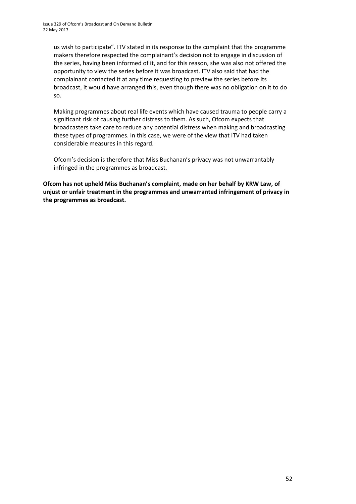us wish to participate". ITV stated in its response to the complaint that the programme makers therefore respected the complainant's decision not to engage in discussion of the series, having been informed of it, and for this reason, she was also not offered the opportunity to view the series before it was broadcast. ITV also said that had the complainant contacted it at any time requesting to preview the series before its broadcast, it would have arranged this, even though there was no obligation on it to do so.

Making programmes about real life events which have caused trauma to people carry a significant risk of causing further distress to them. As such, Ofcom expects that broadcasters take care to reduce any potential distress when making and broadcasting these types of programmes. In this case, we were of the view that ITV had taken considerable measures in this regard.

Ofcom's decision is therefore that Miss Buchanan's privacy was not unwarrantably infringed in the programmes as broadcast.

**Ofcom has not upheld Miss Buchanan's complaint, made on her behalf by KRW Law, of unjust or unfair treatment in the programmes and unwarranted infringement of privacy in the programmes as broadcast.**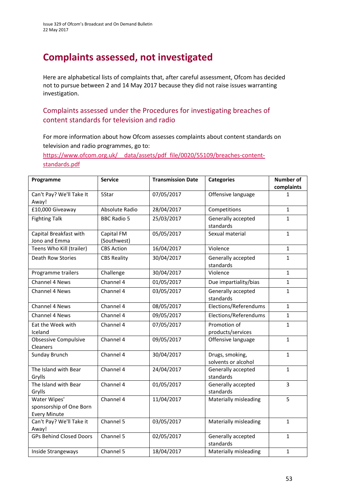# **Complaints assessed, not investigated**

Here are alphabetical lists of complaints that, after careful assessment, Ofcom has decided not to pursue between 2 and 14 May 2017 because they did not raise issues warranting investigation.

### Complaints assessed under the Procedures for investigating breaches of content standards for television and radio

For more information about how Ofcom assesses complaints about content standards on television and radio programmes, go to:

https://www.ofcom.org.uk/ data/assets/pdf file/0020/55109/breaches-content[standards.pdf](https://www.ofcom.org.uk/__data/assets/pdf_file/0020/55109/breaches-content-standards.pdf)

| Programme                                                      | <b>Service</b>            | <b>Transmission Date</b> | <b>Categories</b>                      | <b>Number of</b><br>complaints |
|----------------------------------------------------------------|---------------------------|--------------------------|----------------------------------------|--------------------------------|
| Can't Pay? We'll Take It<br>Away!                              | 5Star                     | 07/05/2017               | Offensive language                     | 1                              |
| £10,000 Giveaway                                               | Absolute Radio            | 28/04/2017               | Competitions                           | $\mathbf{1}$                   |
| <b>Fighting Talk</b>                                           | <b>BBC Radio 5</b>        | 25/03/2017               | Generally accepted<br>standards        | $\mathbf{1}$                   |
| Capital Breakfast with<br>Jono and Emma                        | Capital FM<br>(Southwest) | 05/05/2017               | Sexual material                        | $\mathbf{1}$                   |
| Teens Who Kill (trailer)                                       | <b>CBS Action</b>         | 16/04/2017               | Violence                               | $\mathbf{1}$                   |
| <b>Death Row Stories</b>                                       | <b>CBS Reality</b>        | 30/04/2017               | Generally accepted<br>standards        | $\mathbf{1}$                   |
| Programme trailers                                             | Challenge                 | 30/04/2017               | Violence                               | $\mathbf{1}$                   |
| Channel 4 News                                                 | Channel 4                 | 01/05/2017               | Due impartiality/bias                  | $\mathbf{1}$                   |
| Channel 4 News                                                 | Channel 4                 | 03/05/2017               | Generally accepted<br>standards        | $\mathbf{1}$                   |
| Channel 4 News                                                 | Channel 4                 | 08/05/2017               | Elections/Referendums                  | $\mathbf{1}$                   |
| Channel 4 News                                                 | Channel 4                 | 09/05/2017               | Elections/Referendums                  | $\mathbf{1}$                   |
| Eat the Week with<br>Iceland                                   | Channel 4                 | 07/05/2017               | Promotion of<br>products/services      | $\mathbf{1}$                   |
| Obsessive Compulsive<br>Cleaners                               | Channel 4                 | 09/05/2017               | Offensive language                     | $\mathbf{1}$                   |
| Sunday Brunch                                                  | Channel 4                 | 30/04/2017               | Drugs, smoking,<br>solvents or alcohol | $\mathbf{1}$                   |
| The Island with Bear<br>Grylls                                 | Channel 4                 | 24/04/2017               | Generally accepted<br>standards        | $\mathbf{1}$                   |
| The Island with Bear<br>Grylls                                 | Channel 4                 | 01/05/2017               | Generally accepted<br>standards        | 3                              |
| Water Wipes'<br>sponsorship of One Born<br><b>Every Minute</b> | Channel 4                 | 11/04/2017               | Materially misleading                  | 5                              |
| Can't Pay? We'll Take it<br>Away!                              | Channel 5                 | 03/05/2017               | Materially misleading                  | $\mathbf{1}$                   |
| <b>GPs Behind Closed Doors</b>                                 | Channel 5                 | 02/05/2017               | Generally accepted<br>standards        | $\mathbf{1}$                   |
| Inside Strangeways                                             | Channel 5                 | 18/04/2017               | Materially misleading                  | $\mathbf{1}$                   |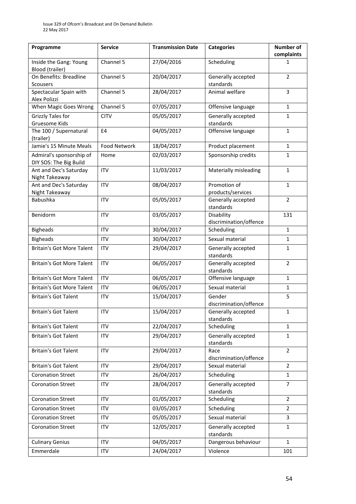| Programme                                          | <b>Service</b> | <b>Transmission Date</b> | <b>Categories</b>                    | <b>Number of</b><br>complaints |
|----------------------------------------------------|----------------|--------------------------|--------------------------------------|--------------------------------|
| Inside the Gang: Young<br>Blood (trailer)          | Channel 5      | 27/04/2016               | Scheduling                           | 1                              |
| On Benefits: Breadline<br><b>Scousers</b>          | Channel 5      | 20/04/2017               | Generally accepted<br>standards      | $\overline{2}$                 |
| Spectacular Spain with<br>Alex Polizzi             | Channel 5      | 28/04/2017               | Animal welfare                       | 3                              |
| When Magic Goes Wrong                              | Channel 5      | 07/05/2017               | Offensive language                   | $\mathbf{1}$                   |
| <b>Grizzly Tales for</b><br>Gruesome Kids          | <b>CITV</b>    | 05/05/2017               | Generally accepted<br>standards      | $\mathbf{1}$                   |
| The 100 / Supernatural<br>(trailer)                | E4             | 04/05/2017               | Offensive language                   | $\mathbf{1}$                   |
| Jamie's 15 Minute Meals                            | Food Network   | 18/04/2017               | Product placement                    | $\mathbf{1}$                   |
| Admiral's sponsorship of<br>DIY SOS: The Big Build | Home           | 02/03/2017               | Sponsorship credits                  | 1                              |
| Ant and Dec's Saturday<br>Night Takeaway           | <b>ITV</b>     | 11/03/2017               | Materially misleading                | $\mathbf{1}$                   |
| Ant and Dec's Saturday<br>Night Takeaway           | <b>ITV</b>     | 08/04/2017               | Promotion of<br>products/services    | $\mathbf{1}$                   |
| Babushka                                           | <b>ITV</b>     | 05/05/2017               | Generally accepted<br>standards      | $\overline{2}$                 |
| Benidorm                                           | <b>ITV</b>     | 03/05/2017               | Disability<br>discrimination/offence | 131                            |
| <b>Bigheads</b>                                    | <b>ITV</b>     | 30/04/2017               | Scheduling                           | $\mathbf{1}$                   |
| <b>Bigheads</b>                                    | <b>ITV</b>     | 30/04/2017               | Sexual material                      | $\mathbf{1}$                   |
| <b>Britain's Got More Talent</b>                   | <b>ITV</b>     | 29/04/2017               | Generally accepted<br>standards      | $\mathbf{1}$                   |
| <b>Britain's Got More Talent</b>                   | <b>ITV</b>     | 06/05/2017               | Generally accepted<br>standards      | $\overline{2}$                 |
| <b>Britain's Got More Talent</b>                   | ITV            | 06/05/2017               | Offensive language                   | $\mathbf{1}$                   |
| <b>Britain's Got More Talent</b>                   | <b>ITV</b>     | 06/05/2017               | Sexual material                      | $\mathbf{1}$                   |
| <b>Britain's Got Talent</b>                        | <b>ITV</b>     | 15/04/2017               | Gender<br>discrimination/offence     | 5                              |
| <b>Britain's Got Talent</b>                        | <b>ITV</b>     | 15/04/2017               | Generally accepted<br>standards      | $\mathbf{1}$                   |
| <b>Britain's Got Talent</b>                        | <b>ITV</b>     | 22/04/2017               | Scheduling                           | $\mathbf{1}$                   |
| <b>Britain's Got Talent</b>                        | <b>ITV</b>     | 29/04/2017               | Generally accepted<br>standards      | $\mathbf{1}$                   |
| <b>Britain's Got Talent</b>                        | ITV            | 29/04/2017               | Race<br>discrimination/offence       | $\overline{2}$                 |
| <b>Britain's Got Talent</b>                        | <b>ITV</b>     | 29/04/2017               | Sexual material                      | $\overline{2}$                 |
| <b>Coronation Street</b>                           | <b>ITV</b>     | 26/04/2017               | Scheduling                           | $\mathbf{1}$                   |
| <b>Coronation Street</b>                           | ITV            | 28/04/2017               | Generally accepted<br>standards      | $\overline{7}$                 |
| <b>Coronation Street</b>                           | <b>ITV</b>     | 01/05/2017               | Scheduling                           | $\overline{2}$                 |
| <b>Coronation Street</b>                           | <b>ITV</b>     | 03/05/2017               | Scheduling                           | $\overline{2}$                 |
| <b>Coronation Street</b>                           | <b>ITV</b>     | 05/05/2017               | Sexual material                      | 3                              |
| <b>Coronation Street</b>                           | <b>ITV</b>     | 12/05/2017               | Generally accepted<br>standards      | $\mathbf{1}$                   |
| <b>Culinary Genius</b>                             | <b>ITV</b>     | 04/05/2017               | Dangerous behaviour                  | $\mathbf{1}$                   |
| Emmerdale                                          | ITV            | 24/04/2017               | Violence                             | 101                            |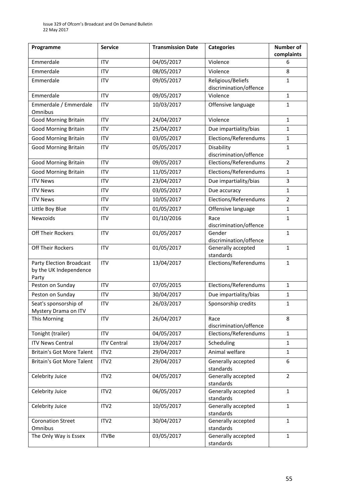| Programme                                                   | <b>Service</b>     | <b>Transmission Date</b> | <b>Categories</b>                           | <b>Number of</b><br>complaints |
|-------------------------------------------------------------|--------------------|--------------------------|---------------------------------------------|--------------------------------|
| Emmerdale                                                   | <b>ITV</b>         | 04/05/2017               | Violence                                    | 6                              |
| Emmerdale                                                   | <b>ITV</b>         | 08/05/2017               | Violence                                    | 8                              |
| Emmerdale                                                   | <b>ITV</b>         | 09/05/2017               | Religious/Beliefs<br>discrimination/offence | 1                              |
| Emmerdale                                                   | <b>ITV</b>         | 09/05/2017               | Violence                                    | $\mathbf{1}$                   |
| Emmerdale / Emmerdale<br>Omnibus                            | <b>ITV</b>         | 10/03/2017               | Offensive language                          | $\mathbf{1}$                   |
| <b>Good Morning Britain</b>                                 | ITV                | 24/04/2017               | Violence                                    | $\mathbf{1}$                   |
| <b>Good Morning Britain</b>                                 | <b>ITV</b>         | 25/04/2017               | Due impartiality/bias                       | 1                              |
| <b>Good Morning Britain</b>                                 | <b>ITV</b>         | 03/05/2017               | Elections/Referendums                       | $\mathbf{1}$                   |
| <b>Good Morning Britain</b>                                 | <b>ITV</b>         | 05/05/2017               | Disability<br>discrimination/offence        | $\mathbf{1}$                   |
| Good Morning Britain                                        | <b>ITV</b>         | 09/05/2017               | Elections/Referendums                       | $\overline{2}$                 |
| <b>Good Morning Britain</b>                                 | <b>ITV</b>         | 11/05/2017               | Elections/Referendums                       | $\mathbf{1}$                   |
| <b>ITV News</b>                                             | <b>ITV</b>         | 23/04/2017               | Due impartiality/bias                       | 3                              |
| <b>ITV News</b>                                             | <b>ITV</b>         | 03/05/2017               | Due accuracy                                | $\mathbf{1}$                   |
| <b>ITV News</b>                                             | <b>ITV</b>         | 10/05/2017               | Elections/Referendums                       | $\overline{2}$                 |
| Little Boy Blue                                             | <b>ITV</b>         | 01/05/2017               | Offensive language                          | $\mathbf{1}$                   |
| Newzoids                                                    | ITV                | 01/10/2016               | Race<br>discrimination/offence              | $1\,$                          |
| <b>Off Their Rockers</b>                                    | ITV                | 01/05/2017               | Gender<br>discrimination/offence            | $\mathbf{1}$                   |
| <b>Off Their Rockers</b>                                    | <b>ITV</b>         | 01/05/2017               | Generally accepted<br>standards             | $\mathbf{1}$                   |
| Party Election Broadcast<br>by the UK Independence<br>Party | ITV                | 13/04/2017               | Elections/Referendums                       | $\mathbf{1}$                   |
| Peston on Sunday                                            | <b>ITV</b>         | 07/05/2015               | Elections/Referendums                       | $\mathbf{1}$                   |
| Peston on Sunday                                            | <b>ITV</b>         | 30/04/2017               | Due impartiality/bias                       | $\mathbf{1}$                   |
| Seat's sponsorship of<br>Mystery Drama on ITV               | <b>ITV</b>         | 26/03/2017               | Sponsorship credits                         | $\mathbf{1}$                   |
| This Morning                                                | <b>ITV</b>         | 26/04/2017               | Race<br>discrimination/offence              | 8                              |
| Tonight (trailer)                                           | <b>ITV</b>         | 04/05/2017               | Elections/Referendums                       | $\mathbf{1}$                   |
| <b>ITV News Central</b>                                     | <b>ITV Central</b> | 19/04/2017               | Scheduling                                  | $\mathbf{1}$                   |
| Britain's Got More Talent                                   | ITV <sub>2</sub>   | 29/04/2017               | Animal welfare                              | $\mathbf{1}$                   |
| <b>Britain's Got More Talent</b>                            | ITV2               | 29/04/2017               | Generally accepted<br>standards             | 6                              |
| Celebrity Juice                                             | ITV <sub>2</sub>   | 04/05/2017               | Generally accepted<br>standards             | $\overline{2}$                 |
| Celebrity Juice                                             | ITV <sub>2</sub>   | 06/05/2017               | Generally accepted<br>standards             | $\mathbf{1}$                   |
| Celebrity Juice                                             | ITV <sub>2</sub>   | 10/05/2017               | Generally accepted<br>standards             | $\mathbf{1}$                   |
| <b>Coronation Street</b><br>Omnibus                         | ITV <sub>2</sub>   | 30/04/2017               | Generally accepted<br>standards             | $\mathbf{1}$                   |
| The Only Way is Essex                                       | <b>ITVBe</b>       | 03/05/2017               | Generally accepted<br>standards             | $\mathbf{1}$                   |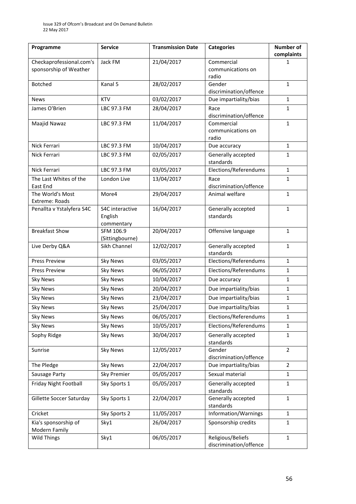| Programme                             | <b>Service</b>  | <b>Transmission Date</b> | <b>Categories</b>                           | <b>Number of</b><br>complaints |
|---------------------------------------|-----------------|--------------------------|---------------------------------------------|--------------------------------|
| Checkaprofessional.com's              | Jack FM         | 21/04/2017               | Commercial                                  | 1                              |
| sponsorship of Weather                |                 |                          | communications on                           |                                |
| <b>Botched</b>                        | Kanal 5         |                          | radio                                       |                                |
|                                       |                 | 28/02/2017               | Gender<br>discrimination/offence            | $\mathbf{1}$                   |
| <b>News</b>                           | <b>KTV</b>      | 03/02/2017               | Due impartiality/bias                       | $\mathbf{1}$                   |
| James O'Brien                         | LBC 97.3 FM     | 28/04/2017               | Race                                        | 1                              |
|                                       |                 |                          | discrimination/offence                      |                                |
| Maajid Nawaz                          | LBC 97.3 FM     | 11/04/2017               | Commercial                                  | $\mathbf{1}$                   |
|                                       |                 |                          | communications on                           |                                |
| Nick Ferrari                          | LBC 97.3 FM     | 10/04/2017               | radio<br>Due accuracy                       | $\mathbf{1}$                   |
| Nick Ferrari                          | LBC 97.3 FM     | 02/05/2017               | Generally accepted                          | $\mathbf{1}$                   |
|                                       |                 |                          | standards                                   |                                |
| Nick Ferrari                          | LBC 97.3 FM     | 03/05/2017               | Elections/Referendums                       | $\mathbf{1}$                   |
| The Last Whites of the                | London Live     | 13/04/2017               | Race                                        | $\mathbf{1}$                   |
| East End                              |                 |                          | discrimination/offence                      |                                |
| The World's Most                      | More4           | 29/04/2017               | Animal welfare                              | $\mathbf{1}$                   |
| Extreme: Roads                        | S4C interactive | 16/04/2017               | Generally accepted                          | $\mathbf{1}$                   |
| Penallta v Ystalyfera S4C             | English         |                          | standards                                   |                                |
|                                       | commentary      |                          |                                             |                                |
| <b>Breakfast Show</b>                 | SFM 106.9       | 20/04/2017               | Offensive language                          | $1\,$                          |
|                                       | (Sittingbourne) |                          |                                             |                                |
| Live Derby Q&A                        | Sikh Channel    | 12/02/2017               | Generally accepted<br>standards             | $\mathbf{1}$                   |
| <b>Press Preview</b>                  | <b>Sky News</b> | 03/05/2017               | Elections/Referendums                       | $\mathbf{1}$                   |
| <b>Press Preview</b>                  | <b>Sky News</b> | 06/05/2017               | Elections/Referendums                       | $\mathbf{1}$                   |
| <b>Sky News</b>                       | <b>Sky News</b> | 10/04/2017               | Due accuracy                                | $\mathbf{1}$                   |
| <b>Sky News</b>                       | <b>Sky News</b> | 20/04/2017               | Due impartiality/bias                       | 1                              |
| <b>Sky News</b>                       | <b>Sky News</b> | 23/04/2017               | Due impartiality/bias                       | $\mathbf{1}$                   |
| <b>Sky News</b>                       | <b>Sky News</b> | 25/04/2017               | Due impartiality/bias                       | $\mathbf{1}$                   |
| <b>Sky News</b>                       | <b>Sky News</b> | 06/05/2017               | Elections/Referendums                       | 1                              |
| <b>Sky News</b>                       | <b>Sky News</b> | 10/05/2017               | Elections/Referendums                       | $\mathbf{1}$                   |
| Sophy Ridge                           | <b>Sky News</b> | 30/04/2017               | Generally accepted                          | $\mathbf{1}$                   |
|                                       |                 |                          | standards                                   |                                |
| Sunrise                               | <b>Sky News</b> | 12/05/2017               | Gender                                      | $\overline{2}$                 |
|                                       |                 |                          | discrimination/offence                      |                                |
| The Pledge                            | <b>Sky News</b> | 22/04/2017               | Due impartiality/bias                       | $\overline{2}$                 |
| Sausage Party                         | Sky Premier     | 05/05/2017               | Sexual material                             | $\mathbf{1}$                   |
| Friday Night Football                 | Sky Sports 1    | 05/05/2017               | Generally accepted<br>standards             | $\mathbf{1}$                   |
| Gillette Soccer Saturday              | Sky Sports 1    | 22/04/2017               | Generally accepted                          | $\mathbf{1}$                   |
|                                       |                 |                          | standards                                   |                                |
| Cricket                               | Sky Sports 2    | 11/05/2017               | Information/Warnings                        | $\mathbf{1}$                   |
| Kia's sponsorship of<br>Modern Family | Sky1            | 26/04/2017               | Sponsorship credits                         | $\mathbf{1}$                   |
| <b>Wild Things</b>                    | Sky1            | 06/05/2017               | Religious/Beliefs<br>discrimination/offence | $\mathbf{1}$                   |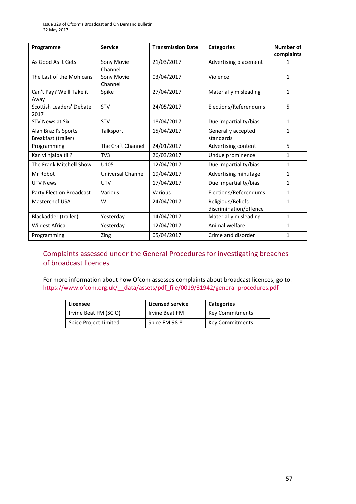| Programme                                   | <b>Service</b>        | <b>Transmission Date</b> | <b>Categories</b>                           | Number of<br>complaints |
|---------------------------------------------|-----------------------|--------------------------|---------------------------------------------|-------------------------|
| As Good As It Gets                          | Sony Movie<br>Channel | 21/03/2017               | Advertising placement                       | 1                       |
| The Last of the Mohicans                    | Sony Movie<br>Channel | 03/04/2017               | Violence                                    | $\mathbf{1}$            |
| Can't Pay? We'll Take it<br>Away!           | Spike                 | 27/04/2017               | Materially misleading                       | $\mathbf{1}$            |
| Scottish Leaders' Debate<br>2017            | <b>STV</b>            | 24/05/2017               | Elections/Referendums                       | 5                       |
| <b>STV News at Six</b>                      | <b>STV</b>            | 18/04/2017               | Due impartiality/bias                       | $\mathbf{1}$            |
| Alan Brazil's Sports<br>Breakfast (trailer) | Talksport             | 15/04/2017               | Generally accepted<br>standards             | $\mathbf{1}$            |
| Programming                                 | The Craft Channel     | 24/01/2017               | Advertising content                         | 5                       |
| Kan vi hjälpa till?                         | TV <sub>3</sub>       | 26/03/2017               | Undue prominence                            | 1                       |
| The Frank Mitchell Show                     | U105                  | 12/04/2017               | Due impartiality/bias                       | $\mathbf{1}$            |
| Mr Robot                                    | Universal Channel     | 19/04/2017               | Advertising minutage                        | $\mathbf{1}$            |
| <b>UTV News</b>                             | <b>UTV</b>            | 17/04/2017               | Due impartiality/bias                       | $\mathbf{1}$            |
| <b>Party Election Broadcast</b>             | Various               | Various                  | Elections/Referendums                       | $\mathbf{1}$            |
| Masterchef USA                              | W                     | 24/04/2017               | Religious/Beliefs<br>discrimination/offence | $\mathbf{1}$            |
| Blackadder (trailer)                        | Yesterday             | 14/04/2017               | Materially misleading                       | $\mathbf{1}$            |
| <b>Wildest Africa</b>                       | Yesterday             | 12/04/2017               | Animal welfare                              | 1                       |
| Programming                                 | Zing                  | 05/04/2017               | Crime and disorder                          | $\mathbf{1}$            |

### Complaints assessed under the General Procedures for investigating breaches of broadcast licences

For more information about how Ofcom assesses complaints about broadcast licences, go to: [https://www.ofcom.org.uk/\\_\\_data/assets/pdf\\_file/0019/31942/general-procedures.pdf](https://www.ofcom.org.uk/__data/assets/pdf_file/0019/31942/general-procedures.pdf)

| Licensee              | <b>Licensed service</b> | <b>Categories</b> |
|-----------------------|-------------------------|-------------------|
| Irvine Beat FM (SCIO) | Irvine Beat FM          | Key Commitments   |
| Spice Project Limited | Spice FM 98.8           | Key Commitments   |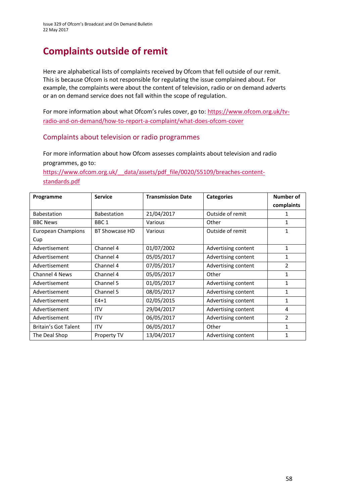# **Complaints outside of remit**

Here are alphabetical lists of complaints received by Ofcom that fell outside of our remit. This is because Ofcom is not responsible for regulating the issue complained about. For example, the complaints were about the content of television, radio or on demand adverts or an on demand service does not fall within the scope of regulation.

For more information about what Ofcom's rules cover, go to: [https://www.ofcom.org.uk/tv](https://www.ofcom.org.uk/tv-radio-and-on-demand/how-to-report-a-complaint/what-does-ofcom-cover)[radio-and-on-demand/how-to-report-a-complaint/what-does-ofcom-cover](https://www.ofcom.org.uk/tv-radio-and-on-demand/how-to-report-a-complaint/what-does-ofcom-cover)

### Complaints about television or radio programmes

For more information about how Ofcom assesses complaints about television and radio programmes, go to:

https://www.ofcom.org.uk/ data/assets/pdf file/0020/55109/breaches-content[standards.pdf](https://www.ofcom.org.uk/__data/assets/pdf_file/0020/55109/breaches-content-standards.pdf)

| Programme                   | <b>Service</b>     | <b>Transmission Date</b> | <b>Categories</b>   | Number of      |
|-----------------------------|--------------------|--------------------------|---------------------|----------------|
|                             |                    |                          |                     | complaints     |
| <b>Babestation</b>          | <b>Babestation</b> | 21/04/2017               | Outside of remit    |                |
| <b>BBC News</b>             | BBC <sub>1</sub>   | Various                  | Other               | 1              |
| European Champions          | BT Showcase HD     | Various                  | Outside of remit    | 1              |
| Cup                         |                    |                          |                     |                |
| Advertisement               | Channel 4          | 01/07/2002               | Advertising content | 1              |
| Advertisement               | Channel 4          | 05/05/2017               | Advertising content | 1              |
| Advertisement               | Channel 4          | 07/05/2017               | Advertising content | $\overline{2}$ |
| Channel 4 News              | Channel 4          | 05/05/2017               | Other               | 1              |
| Advertisement               | Channel 5          | 01/05/2017               | Advertising content | 1              |
| Advertisement               | Channel 5          | 08/05/2017               | Advertising content | 1              |
| Advertisement               | $E4+1$             | 02/05/2015               | Advertising content | 1              |
| Advertisement               | <b>ITV</b>         | 29/04/2017               | Advertising content | 4              |
| Advertisement               | <b>ITV</b>         | 06/05/2017               | Advertising content | 2              |
| <b>Britain's Got Talent</b> | <b>ITV</b>         | 06/05/2017               | Other               | 1              |
| The Deal Shop               | Property TV        | 13/04/2017               | Advertising content | 1              |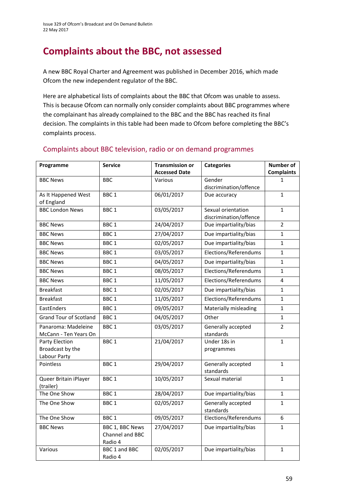# **Complaints about the BBC, not assessed**

A new BBC Royal Charter and Agreement was published in December 2016, which made Ofcom the new independent regulator of the BBC.

Here are alphabetical lists of complaints about the BBC that Ofcom was unable to assess. This is because Ofcom can normally only consider complaints about BBC programmes where the complainant has already complained to the BBC and the BBC has reached its final decision. The complaints in this table had been made to Ofcom before completing the BBC's complaints process.

| Programme                     | <b>Service</b>         | <b>Transmission or</b> | <b>Categories</b>               | <b>Number of</b>  |
|-------------------------------|------------------------|------------------------|---------------------------------|-------------------|
|                               |                        | <b>Accessed Date</b>   |                                 | <b>Complaints</b> |
| <b>BBC News</b>               | <b>BBC</b>             | Various                | Gender                          | 1                 |
|                               |                        |                        | discrimination/offence          |                   |
| As It Happened West           | BBC <sub>1</sub>       | 06/01/2017             | Due accuracy                    | $\mathbf{1}$      |
| of England                    |                        |                        |                                 |                   |
| <b>BBC London News</b>        | BBC <sub>1</sub>       | 03/05/2017             | Sexual orientation              | $\mathbf{1}$      |
|                               |                        |                        | discrimination/offence          |                   |
| <b>BBC News</b>               | BBC <sub>1</sub>       | 24/04/2017             | Due impartiality/bias           | $\overline{2}$    |
| <b>BBC News</b>               | BBC <sub>1</sub>       | 27/04/2017             | Due impartiality/bias           | $\mathbf{1}$      |
| <b>BBC News</b>               | BBC <sub>1</sub>       | 02/05/2017             | Due impartiality/bias           | $\mathbf{1}$      |
| <b>BBC News</b>               | BBC <sub>1</sub>       | 03/05/2017             | Elections/Referendums           | $\mathbf 1$       |
| <b>BBC News</b>               | BBC <sub>1</sub>       | 04/05/2017             | Due impartiality/bias           | $\mathbf{1}$      |
| <b>BBC News</b>               | BBC <sub>1</sub>       | 08/05/2017             | Elections/Referendums           | $\mathbf{1}$      |
| <b>BBC News</b>               | BBC <sub>1</sub>       | 11/05/2017             | Elections/Referendums           | 4                 |
| <b>Breakfast</b>              | BBC <sub>1</sub>       | 02/05/2017             | Due impartiality/bias           | $\mathbf{1}$      |
| <b>Breakfast</b>              | BBC <sub>1</sub>       | 11/05/2017             | Elections/Referendums           | $\mathbf{1}$      |
| EastEnders                    | BBC <sub>1</sub>       | 09/05/2017             | Materially misleading           | $\mathbf{1}$      |
| <b>Grand Tour of Scotland</b> | BBC <sub>1</sub>       | 04/05/2017             | Other                           | $\mathbf{1}$      |
| Panaroma: Madeleine           | BBC <sub>1</sub>       | 03/05/2017             | Generally accepted              | $\overline{2}$    |
| McCann - Ten Years On         |                        |                        | standards                       |                   |
| Party Election                | BBC <sub>1</sub>       | 21/04/2017             | Under 18s in                    | $\mathbf{1}$      |
| Broadcast by the              |                        |                        | programmes                      |                   |
| Labour Party                  |                        |                        |                                 |                   |
| Pointless                     | BBC <sub>1</sub>       | 29/04/2017             | Generally accepted<br>standards | $\mathbf{1}$      |
| Queer Britain iPlayer         | BBC <sub>1</sub>       | 10/05/2017             | Sexual material                 | $\mathbf{1}$      |
| (trailer)                     |                        |                        |                                 |                   |
| The One Show                  | BBC <sub>1</sub>       | 28/04/2017             | Due impartiality/bias           | $\mathbf{1}$      |
| The One Show                  | BBC <sub>1</sub>       | 02/05/2017             | Generally accepted              | $\mathbf{1}$      |
|                               |                        |                        | standards                       |                   |
| The One Show                  | BBC <sub>1</sub>       | 09/05/2017             | Elections/Referendums           | 6                 |
| <b>BBC News</b>               | <b>BBC 1, BBC News</b> | 27/04/2017             | Due impartiality/bias           | $\mathbf{1}$      |
|                               | Channel and BBC        |                        |                                 |                   |
|                               | Radio 4                |                        |                                 |                   |
| Various                       | BBC 1 and BBC          | 02/05/2017             | Due impartiality/bias           | $\mathbf{1}$      |
|                               | Radio 4                |                        |                                 |                   |

### Complaints about BBC television, radio or on demand programmes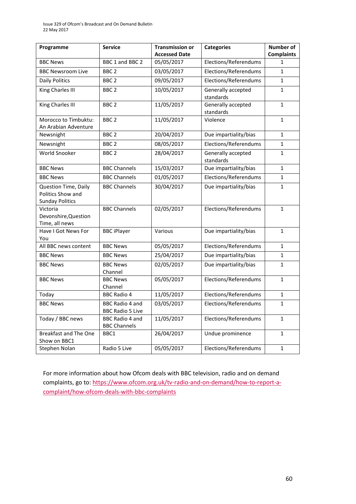| Programme                                                           | <b>Service</b>                                | <b>Transmission or</b><br><b>Accessed Date</b> | <b>Categories</b>               | <b>Number of</b><br><b>Complaints</b> |
|---------------------------------------------------------------------|-----------------------------------------------|------------------------------------------------|---------------------------------|---------------------------------------|
| <b>BBC News</b>                                                     | BBC 1 and BBC 2                               | 05/05/2017                                     | Elections/Referendums           | $\mathbf{1}$                          |
| <b>BBC Newsroom Live</b>                                            | BBC <sub>2</sub>                              | 03/05/2017                                     | Elections/Referendums           | 1                                     |
| <b>Daily Politics</b>                                               | BBC <sub>2</sub>                              | 09/05/2017                                     | Elections/Referendums           | $\mathbf{1}$                          |
| King Charles III                                                    | BBC <sub>2</sub>                              | 10/05/2017                                     | Generally accepted<br>standards | $\mathbf 1$                           |
| King Charles III                                                    | BBC <sub>2</sub>                              | 11/05/2017                                     | Generally accepted<br>standards | 1                                     |
| Morocco to Timbuktu:<br>An Arabian Adventure                        | BBC <sub>2</sub>                              | 11/05/2017                                     | Violence                        | $\mathbf{1}$                          |
| Newsnight                                                           | BBC <sub>2</sub>                              | 20/04/2017                                     | Due impartiality/bias           | $\mathbf 1$                           |
| Newsnight                                                           | BBC <sub>2</sub>                              | 08/05/2017                                     | Elections/Referendums           | $\mathbf 1$                           |
| World Snooker                                                       | BBC <sub>2</sub>                              | 28/04/2017                                     | Generally accepted<br>standards | 1                                     |
| <b>BBC News</b>                                                     | <b>BBC Channels</b>                           | 15/03/2017                                     | Due impartiality/bias           | 1                                     |
| <b>BBC News</b>                                                     | <b>BBC Channels</b>                           | 01/05/2017                                     | Elections/Referendums           | 1                                     |
| Question Time, Daily<br>Politics Show and<br><b>Sunday Politics</b> | <b>BBC Channels</b>                           | 30/04/2017                                     | Due impartiality/bias           | 1                                     |
| Victoria<br>Devonshire, Question<br>Time, all news                  | <b>BBC Channels</b>                           | 02/05/2017                                     | Elections/Referendums           | $\mathbf{1}$                          |
| Have I Got News For<br>You                                          | <b>BBC iPlayer</b>                            | Various                                        | Due impartiality/bias           | $\mathbf 1$                           |
| All BBC news content                                                | <b>BBC News</b>                               | 05/05/2017                                     | Elections/Referendums           | $\mathbf{1}$                          |
| <b>BBC News</b>                                                     | <b>BBC News</b>                               | 25/04/2017                                     | Due impartiality/bias           | 1                                     |
| <b>BBC News</b>                                                     | <b>BBC News</b><br>Channel                    | 02/05/2017                                     | Due impartiality/bias           | $\mathbf{1}$                          |
| <b>BBC News</b>                                                     | <b>BBC News</b><br>Channel                    | 05/05/2017                                     | Elections/Referendums           | $\mathbf{1}$                          |
| Today                                                               | <b>BBC Radio 4</b>                            | 11/05/2017                                     | Elections/Referendums           | $\mathbf{1}$                          |
| <b>BBC News</b>                                                     | BBC Radio 4 and<br><b>BBC Radio 5 Live</b>    | 03/05/2017                                     | Elections/Referendums           | $\mathbf{1}$                          |
| Today / BBC news                                                    | <b>BBC Radio 4 and</b><br><b>BBC Channels</b> | 11/05/2017                                     | Elections/Referendums           | $\mathbf{1}$                          |
| <b>Breakfast and The One</b><br>Show on BBC1                        | BBC1                                          | 26/04/2017                                     | Undue prominence                | 1                                     |
| Stephen Nolan                                                       | Radio 5 Live                                  | 05/05/2017                                     | Elections/Referendums           | $\mathbf{1}$                          |

For more information about how Ofcom deals with BBC television, radio and on demand complaints, go to[: https://www.ofcom.org.uk/tv-radio-and-on-demand/how-to-report-a](https://www.ofcom.org.uk/tv-radio-and-on-demand/how-to-report-a-complaint/how-ofcom-deals-with-bbc-complaints)[complaint/how-ofcom-deals-with-bbc-complaints](https://www.ofcom.org.uk/tv-radio-and-on-demand/how-to-report-a-complaint/how-ofcom-deals-with-bbc-complaints)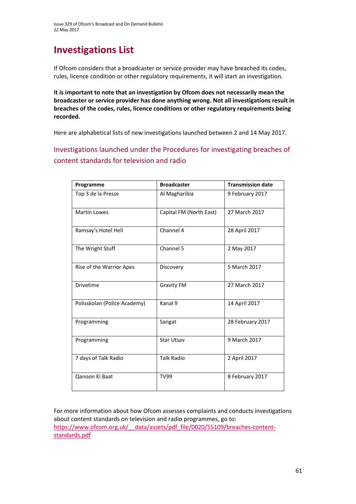# **Investigations List**

If Ofcom considers that a broadcaster or service provider may have breached its codes, rules, licence condition or other regulatory requirements, it will start an investigation.

**It is important to note that an investigation by Ofcom does not necessarily mean the broadcaster or service provider has done anything wrong. Not all investigations result in breaches of the codes, rules, licence conditions or other regulatory requirements being recorded.**

Here are alphabetical lists of new investigations launched between 2 and 14 May 2017.

Investigations launched under the Procedures for investigating breaches of content standards for television and radio

| Programme                    | <b>Broadcaster</b>      | <b>Transmission date</b> |
|------------------------------|-------------------------|--------------------------|
| Top 3 de la Presse           | Al Magharibia           | 9 February 2017          |
| <b>Martin Lowes</b>          | Capital FM (North East) | 27 March 2017            |
| Ramsay's Hotel Hell          | Channel 4               | 28 April 2017            |
| The Wright Stuff             | Channel 5               | 2 May 2017               |
| Rise of the Warrior Apes     | Discovery               | 5 March 2017             |
| <b>Drivetime</b>             | <b>Gravity FM</b>       | 27 March 2017            |
| Polisskolan (Police Academy) | Kanal 9                 | 14 April 2017            |
| Programming                  | Sangat                  | 28 February 2017         |
| Programming                  | <b>Star Utsav</b>       | 9 March 2017             |
| 7 days of Talk Radio         | <b>Talk Radio</b>       | 2 April 2017             |
| Qanoon Ki Baat               | <b>TV99</b>             | 8 February 2017          |

For more information about how Ofcom assesses complaints and conducts investigations about content standards on television and radio programmes, go to: https://www.ofcom.org.uk/ data/assets/pdf file/0020/55109/breaches-content[standards.pdf](https://www.ofcom.org.uk/__data/assets/pdf_file/0020/55109/breaches-content-standards.pdf)